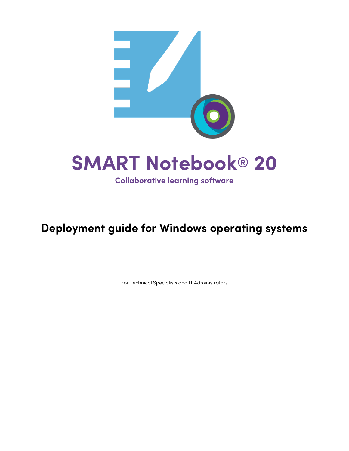

## **Deployment guide for Windows operating systems**

For Technical Specialists and IT Administrators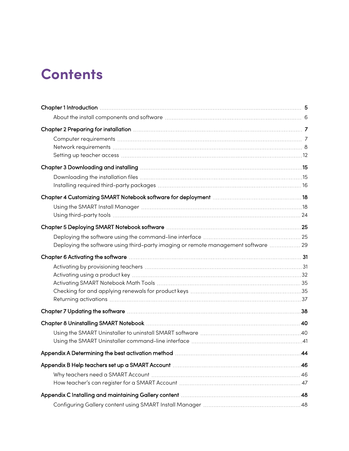# **Contents**

| Chapter 2 Preparing for installation with the continuum continuum control to the control of the control of the  |  |
|-----------------------------------------------------------------------------------------------------------------|--|
|                                                                                                                 |  |
|                                                                                                                 |  |
|                                                                                                                 |  |
|                                                                                                                 |  |
|                                                                                                                 |  |
|                                                                                                                 |  |
|                                                                                                                 |  |
|                                                                                                                 |  |
|                                                                                                                 |  |
|                                                                                                                 |  |
|                                                                                                                 |  |
| Deploying the software using third-party imaging or remote management software 29                               |  |
| Chapter 6 Activating the software material contact and a state of the software material control of the software |  |
|                                                                                                                 |  |
|                                                                                                                 |  |
|                                                                                                                 |  |
|                                                                                                                 |  |
|                                                                                                                 |  |
|                                                                                                                 |  |
|                                                                                                                 |  |
|                                                                                                                 |  |
|                                                                                                                 |  |
|                                                                                                                 |  |
|                                                                                                                 |  |
|                                                                                                                 |  |
|                                                                                                                 |  |
|                                                                                                                 |  |
|                                                                                                                 |  |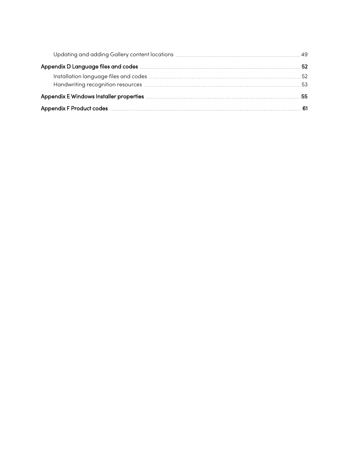| Appendix E Windows Installer properties manufactures and container and the state of the S5 |  |
|--------------------------------------------------------------------------------------------|--|
|                                                                                            |  |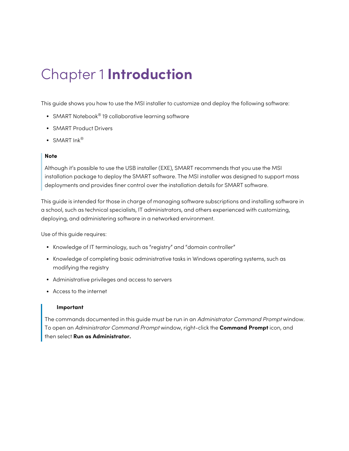# <span id="page-4-0"></span>Chapter 1 **Introduction**

This guide shows you how to use the MSI installer to customize and deploy the following software:

- SMART Notebook® 19 collaborative learning software
- SMART Product Drivers
- SMART  $ln k^{\circledR}$

#### **Note**

Although it's possible to use the USB installer (EXE), SMART recommends that you use the MSI installation package to deploy the SMART software. The MSI installer was designed to support mass deployments and provides finer control over the installation details for SMART software.

This guide is intended for those in charge of managing software subscriptions and installing software in a school, such as technical specialists, IT administrators, and others experienced with customizing, deploying, and administering software in a networked environment.

Use of this guide requires:

- Knowledge of IT terminology, such as "registry" and "domain controller"
- Knowledge of completing basic administrative tasks in Windows operating systems, such as modifying the registry
- Administrative privileges and access to servers
- Access to the internet

#### **Important**

The commands documented in this guide must be run in an Administrator Command Prompt window. To open an Administrator Command Prompt window, right-click the **Command Prompt** icon, and then select **Run as Administrator.**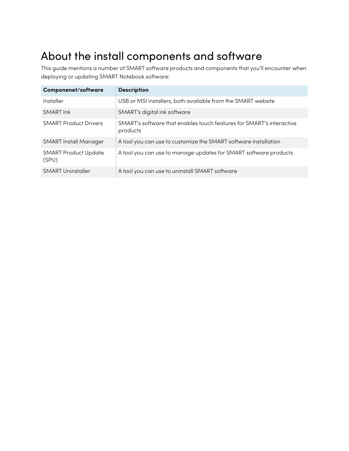## <span id="page-5-0"></span>About the install components and software

This guide mentions a number of SMART software products and components that you'll encounter when deploying or updating SMART Notebook software:

| <b>Componenet/software</b>           | <b>Description</b>                                                               |
|--------------------------------------|----------------------------------------------------------------------------------|
| Installer                            | USB or MSI installers, both available from the SMART website                     |
| <b>SMART Ink</b>                     | SMART's digital ink software                                                     |
| <b>SMART Product Drivers</b>         | SMART's software that enables touch features for SMART's interactive<br>products |
| <b>SMART Install Manager</b>         | A tool you can use to customize the SMART software installation                  |
| <b>SMART Product Update</b><br>(SPU) | A tool you can use to manage updates for SMART software products                 |
| <b>SMART Uninstaller</b>             | A tool you can use to uninstall SMART software                                   |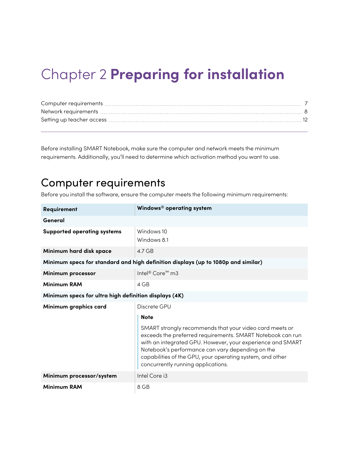# <span id="page-6-0"></span>Chapter 2 **Preparing for installation**

Before installing SMART Notebook, make sure the computer and network meets the minimum requirements. Additionally, you'll need to determine which activation method you want to use.

### <span id="page-6-1"></span>Computer requirements

Before you install the software, ensure the computer meets the following minimum requirements:

| Requirement                                           | Windows® operating system                                                                                                                                                                                                                                                                                                                  |  |  |
|-------------------------------------------------------|--------------------------------------------------------------------------------------------------------------------------------------------------------------------------------------------------------------------------------------------------------------------------------------------------------------------------------------------|--|--|
| General                                               |                                                                                                                                                                                                                                                                                                                                            |  |  |
| <b>Supported operating systems</b>                    | Windows 10<br>Windows 8.1                                                                                                                                                                                                                                                                                                                  |  |  |
| Minimum hard disk space                               | $4.7$ GB                                                                                                                                                                                                                                                                                                                                   |  |  |
|                                                       | Minimum specs for standard and high definition displays (up to 1080p and similar)                                                                                                                                                                                                                                                          |  |  |
| Minimum processor                                     | Intel <sup>®</sup> Core <sup>™</sup> m3                                                                                                                                                                                                                                                                                                    |  |  |
| <b>Minimum RAM</b>                                    | $4 G$ B                                                                                                                                                                                                                                                                                                                                    |  |  |
| Minimum specs for ultra high definition displays (4K) |                                                                                                                                                                                                                                                                                                                                            |  |  |
| Minimum graphics card                                 | Discrete GPU                                                                                                                                                                                                                                                                                                                               |  |  |
|                                                       | <b>Note</b>                                                                                                                                                                                                                                                                                                                                |  |  |
|                                                       | SMART strongly recommends that your video card meets or<br>exceeds the preferred requirements. SMART Notebook can run<br>with an integrated GPU. However, your experience and SMART<br>Notebook's performance can vary depending on the<br>capabilities of the GPU, your operating system, and other<br>concurrently running applications. |  |  |
| Minimum processor/system                              | Intel Core i3                                                                                                                                                                                                                                                                                                                              |  |  |
| <b>Minimum RAM</b>                                    | 8 GB                                                                                                                                                                                                                                                                                                                                       |  |  |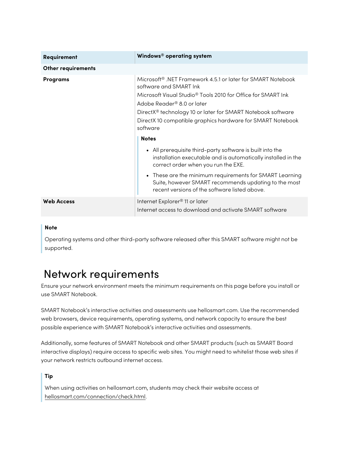| Requirement               | Windows® operating system                                                                                                                                         |
|---------------------------|-------------------------------------------------------------------------------------------------------------------------------------------------------------------|
| <b>Other requirements</b> |                                                                                                                                                                   |
| Programs                  | Microsoft® .NET Framework 4.5.1 or later for SMART Notebook<br>software and SMART Ink                                                                             |
|                           | Microsoft Visual Studio <sup>®</sup> Tools 2010 for Office for SMART Ink                                                                                          |
|                           | Adobe Reader® 8.0 or later                                                                                                                                        |
|                           | DirectX <sup>®</sup> technology 10 or later for SMART Notebook software                                                                                           |
|                           | DirectX 10 compatible graphics hardware for SMART Notebook<br>software                                                                                            |
|                           | <b>Notes</b>                                                                                                                                                      |
|                           | • All prerequisite third-party software is built into the<br>installation executable and is automatically installed in the<br>correct order when you run the EXE. |
|                           | These are the minimum requirements for SMART Learning<br>Suite, however SMART recommends updating to the most<br>recent versions of the software listed above.    |
| <b>Web Access</b>         | Internet Explorer <sup>®</sup> 11 or later<br>Internet access to download and activate SMART software                                                             |

### **Note**

Operating systems and other third-party software released after this SMART software might not be supported.

### <span id="page-7-0"></span>Network requirements

Ensure your network environment meets the minimum requirements on this page before you install or use SMART Notebook.

SMART Notebook's interactive activities and assessments use hellosmart.com. Use the recommended web browsers, device requirements, operating systems, and network capacity to ensure the best possible experience with SMART Notebook's interactive activities and assessments.

Additionally, some features of SMART Notebook and other SMART products (such as SMART Board interactive displays) require access to specific web sites. You might need to whitelist those web sites if your network restricts outbound internet access.

### **Tip**

When using activities on hellosmart.com, students may check their website access at [hellosmart.com/connection/check.html](http://classlab.com/connection/check.html).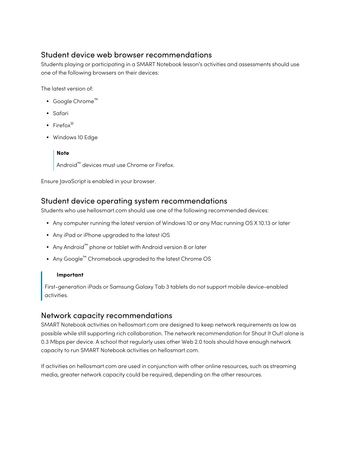### Student device web browser recommendations

Students playing or participating in a SMART Notebook lesson's activities and assessments should use one of the following browsers on their devices:

The latest version of:

- Google Chrome™
- Safari
- Firefox $^{\circ}$
- Windows 10 Edge

### **Note**

Android™ devices must use Chrome or Firefox.

Ensure JavaScript is enabled in your browser.

### Student device operating system recommendations

Students who use hellosmart.com should use one of the following recommended devices:

- Any computer running the latest version of Windows 10 or any Mac running OS X 10.13 or later
- Any iPad or iPhone upgraded to the latest iOS
- Any Android™ phone or tablet with Android version 8 or later
- Any Google™ Chromebook upgraded to the latest Chrome OS

### **Important**

First-generation iPads or Samsung Galaxy Tab 3 tablets do not support mobile device-enabled activities.

### Network capacity recommendations

SMART Notebook activities on hellosmart.com are designed to keep network requirements as low as possible while still supporting rich collaboration. The network recommendation for Shout It Out! alone is 0.3 Mbps per device. A school that regularly uses other Web 2.0 tools should have enough network capacity to run SMART Notebook activities on hellosmart.com.

If activities on hellosmart.com are used in conjunction with other online resources, such as streaming media, greater network capacity could be required, depending on the other resources.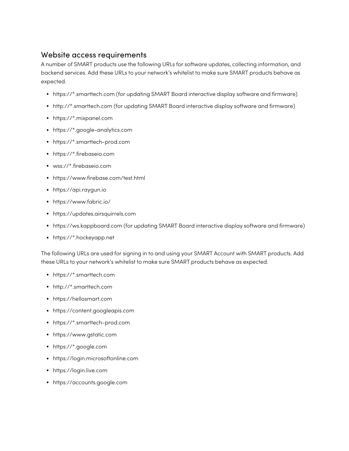### <span id="page-9-0"></span>Website access requirements

A number of SMART products use the following URLs for software updates, collecting information, and backend services. Add these URLs to your network's whitelist to make sure SMART products behave as expected.

- https://\*.smarttech.com (for updating SMART Board interactive display software and firmware)
- http://\*.smarttech.com (for updating SMART Board interactive display software and firmware)
- https://\*.mixpanel.com
- https://\*.google-analytics.com
- https://\*.smarttech-prod.com
- https://\*.firebaseio.com
- wss://\*.firebaseio.com
- https://www.firebase.com/test.html
- https://api.raygun.io
- https://www.fabric.io/
- https://updates.airsquirrels.com
- <sup>l</sup> https://ws.kappboard.com (for updating SMART Board interactive display software and firmware)
- https://\*.hockeyapp.net

The following URLs are used for signing in to and using your SMART Account with SMART products. Add these URLs to your network's whitelist to make sure SMART products behave as expected.

- https://\*.smarttech.com
- http://\*.smarttech.com
- https://hellosmart.com
- https://content.googleapis.com
- https://\*.smarttech-prod.com
- https://www.gstatic.com
- https://\*.google.com
- https://login.microsoftonline.com
- https://login.live.com
- https://accounts.google.com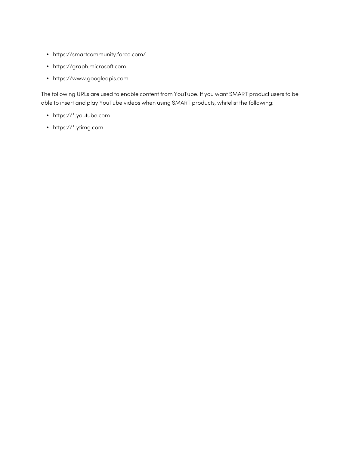- https://smartcommunity.force.com/
- https://graph.microsoft.com
- https://www.googleapis.com

The following URLs are used to enable content from YouTube. If you want SMART product users to be able to insert and play YouTube videos when using SMART products, whitelist the following:

- https://\*.youtube.com
- https://\*.ytimg.com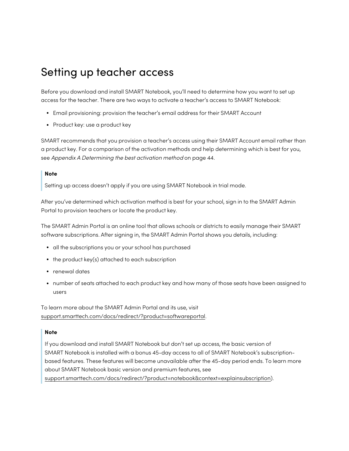## <span id="page-11-0"></span>Setting up teacher access

Before you download and install SMART Notebook, you'll need to determine how you want to set up access for the teacher. There are two ways to activate a teacher's access to SMART Notebook:

- <sup>l</sup> Email provisioning: provision the teacher's email address for their SMART Account
- Product key: use a product key

SMART recommends that you provision a teacher's access using their SMART Account email rather than a product key. For a comparison of the activation methods and help determining which is best for you, see Appendix <sup>A</sup> [Determining](#page-43-0) the best activation method on page 44.

### **Note**

Setting up access doesn't apply if you are using SMART Notebook in trial mode.

After you've determined which activation method is best for your school, sign in to the SMART Admin Portal to provision teachers or locate the product key.

The SMART Admin Portal is an online tool that allows schools or districts to easily manage their SMART software subscriptions. After signing in, the SMART Admin Portal shows you details, including:

- all the subscriptions you or your school has purchased
- $\bullet$  the product key(s) attached to each subscription
- renewal dates
- number of seats attached to each product key and how many of those seats have been assigned to users

To learn more about the SMART Admin Portal and its use, visit [support.smarttech.com/docs/redirect/?product=softwareportal](https://support.smarttech.com/docs/redirect/?product=softwareportal).

#### **Note**

If you download and install SMART Notebook but don't set up access, the basic version of SMART Notebook is installed with a bonus 45-day access to all of SMART Notebook's subscriptionbased features. These features will become unavailable after the 45-day period ends. To learn more about SMART Notebook basic version and premium features, see [support.smarttech.com/docs/redirect/?product=notebook&context=explainsubscription](https://support.smarttech.com/docs/redirect/?product=notebook&context=explainsubscription)).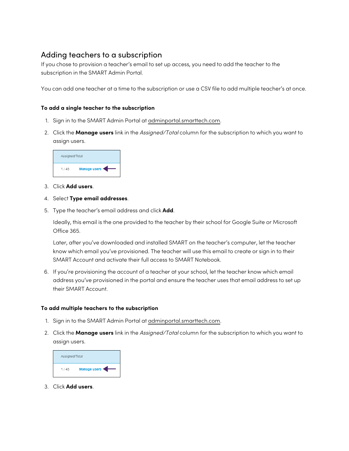### <span id="page-12-0"></span>Adding teachers to a subscription

If you chose to provision a teacher's email to set up access, you need to add the teacher to the subscription in the SMART Admin Portal.

You can add one teacher at a time to the subscription or use a CSV file to add multiple teacher's at once.

### **To add a single teacher to the subscription**

- 1. Sign in to the SMART Admin Portal at [adminportal.smarttech.com](http://subscriptions.smarttech.com/).
- 2. Click the **Manage users** link in the Assigned/Total column for the subscription to which you want to assign users.



- 3. Click **Add users**.
- 4. Select **Type email addresses**.
- 5. Type the teacher's email address and click **Add**.

Ideally, this email is the one provided to the teacher by their school for Google Suite or Microsoft Office 365.

Later, after you've downloaded and installed SMART on the teacher's computer, let the teacher know which email you've provisioned. The teacher will use this email to create or sign in to their SMART Account and activate their full access to SMART Notebook.

6. If you're provisioning the account of a teacher at your school, let the teacher know which email address you've provisioned in the portal and ensure the teacher uses that email address to set up their SMART Account.

### **To add multiple teachers to the subscription**

- 1. Sign in to the SMART Admin Portal at [adminportal.smarttech.com](http://subscriptions.smarttech.com/).
- 2. Click the **Manage users** link in the Assigned/Total column for the subscription to which you want to assign users.



3. Click **Add users**.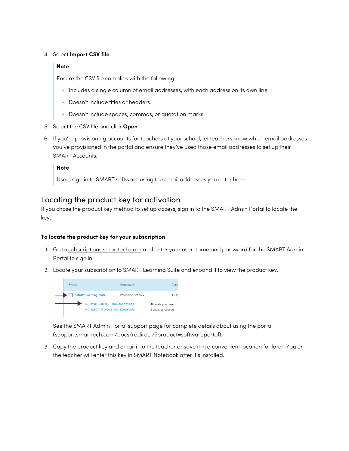### 4. Select **Import CSV file**.

### **Note**

Ensure the CSV file complies with the following:

- o Includes a single column of email addresses, with each address on its own line.
- <sup>o</sup> Doesn't include titles or headers.
- <sup>o</sup> Doesn't include spaces, commas, or quotation marks.
- 5. Select the CSV file and click **Open**.
- 6. If you're provisioning accounts for teachers at your school, let teachers know which email addresses you've provisioned in the portal and ensure they've used those email addresses to set up their SMART Accounts.

### **Note**

Users sign in to SMART software using the email addresses you enter here.

### Locating the product key for activation

If you chose the product key method to set up access, sign in to the SMART Admin Portal to locate the key.

#### **To locate the product key for your subscription**

- 1. Go to [subscriptions.smarttech.com](http://subscriptions.smarttech.com/) and enter your user name and password for the SMART Admin Portal to sign in.
- 2. Locate your subscription to SMART Learning Suite and expand it to view the product key.



See the SMART Admin Portal support page for complete details about using the portal [\(support.smarttech.com/docs/redirect/?product=softwareportal\)](https://support.smarttech.com/docs/redirect/?product=softwareportal).

3. Copy the product key and email it to the teacher or save it in a convenient location for later. You or the teacher will enter this key in SMART Notebook after it's installed.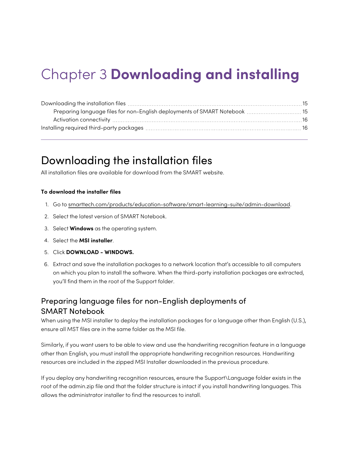# <span id="page-14-0"></span>Chapter 3 **Downloading and installing**

| Preparing language files for non-English deployments of SMART Notebook  15 |  |
|----------------------------------------------------------------------------|--|
|                                                                            |  |
|                                                                            |  |

### <span id="page-14-1"></span>Downloading the installation files

All installation files are available for download from the SMART website.

### **To download the installer files**

- 1. Go to [smarttech.com/products/education-software/smart-learning-suite/admin-download](https://legacy.smarttech.com/products/education-software/smart-learning-suite/admin-download).
- 2. Select the latest version of SMART Notebook.
- 3. Select **Windows** as the operating system.
- 4. Select the **MSI installer**.
- 5. Click **DOWNLOAD - WINDOWS.**
- 6. Extract and save the installation packages to a network location that's accessible to all computers on which you plan to install the software. When the third-party installation packages are extracted, you'll find them in the root of the Support folder.

### <span id="page-14-2"></span>Preparing language files for non-English deployments of SMART Notebook

When using the MSI installer to deploy the installation packages for a language other than English (U.S.), ensure all MST files are in the same folder as the MSI file.

Similarly, if you want users to be able to view and use the handwriting recognition feature in a language other than English, you must install the appropriate handwriting recognition resources. Handwriting resources are included in the zipped MSI Installer downloaded in the previous procedure.

If you deploy any handwriting recognition resources, ensure the Support\Language folder exists in the root of the admin.zip file and that the folder structure is intact if you install handwriting languages. This allows the administrator installer to find the resources to install.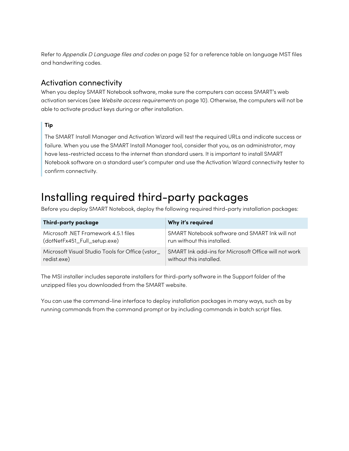Refer to Appendix D [Language](#page-51-0) files and codes on page 52 for a reference table on language MST files and handwriting codes.

### <span id="page-15-1"></span>Activation connectivity

When you deploy SMART Notebook software, make sure the computers can access SMART's web activation services (see Website access requ[irements](#page-9-0) on page 10). Otherwise, the computers will not be able to activate product keys during or after installation.

### **Tip**

The SMART Install Manager and Activation Wizard will test the required URLs and indicate success or failure. When you use the SMART Install Manager tool, consider that you, as an administrator, may have less-restricted access to the internet than standard users. It is important to install SMART Notebook software on a standard user's computer and use the Activation Wizard connectivity tester to confirm connectivity.

## <span id="page-15-0"></span>Installing required third-party packages

Before you deploy SMART Notebook, deploy the following required third-party installation packages:

| Third-party package                              | Why it's required                                    |
|--------------------------------------------------|------------------------------------------------------|
| Microsoft .NET Framework 4.5.1 files             | SMART Notebook software and SMART Ink will not       |
| (dotNetFx451_Full_setup.exe)                     | run without this installed.                          |
| Microsoft Visual Studio Tools for Office (vstor_ | SMART Ink add-ins for Microsoft Office will not work |
| redist.exe)                                      | without this installed.                              |

The MSI installer includes separate installers for third-party software in the Support folder of the unzipped files you downloaded from the SMART website.

You can use the command-line interface to deploy installation packages in many ways, such as by running commands from the command prompt or by including commands in batch script files.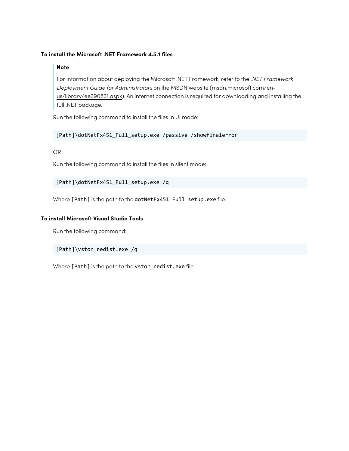### **To install the Microsoft .NET Framework 4.5.1 files**

### **Note**

For information about deploying the Microsoft .NET Framework, refer to the .NET Framework Deployment Guide for Administrators on the MSDN website ([msdn.microsoft.com/en](https://docs.microsoft.com/en-us/dotnet/framework/deployment/guide-for-administrators)[us/library/ee390831.aspx](https://docs.microsoft.com/en-us/dotnet/framework/deployment/guide-for-administrators)). An internet connection is required for downloading and installing the full .NET package.

Run the following command to install the files in UI mode:

### [Path]\dotNetFx451\_Full\_setup.exe /passive /showfinalerror

### OR

Run the following command to install the files in silent mode:

[Path]\dotNetFx451\_Full\_setup.exe /q

Where [Path] is the path to the dotNetFx451\_Full\_setup.exe file.

### **To install Microsoft Visual Studio Tools**

Run the following command:

[Path]\vstor\_redist.exe /q

Where [Path] is the path to the vstor\_redist.exe file.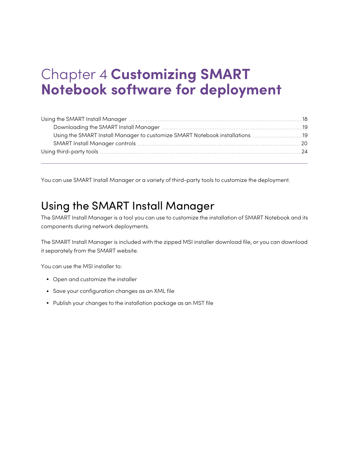# <span id="page-17-0"></span>Chapter 4 **Customizing SMART Notebook software for deployment**

| Using the SMART Install Manager to customize SMART Notebook installations  19 |  |
|-------------------------------------------------------------------------------|--|
|                                                                               |  |
|                                                                               |  |
|                                                                               |  |

<span id="page-17-1"></span>You can use SMART Install Manager or a variety of third-party tools to customize the deployment.

### Using the SMART Install Manager

The SMART Install Manager is a tool you can use to customize the installation of SMART Notebook and its components during network deployments.

The SMART Install Manager is included with the zipped MSI installer download file, or you can download it separately from the SMART website.

You can use the MSI installer to:

- Open and customize the installer
- Save your configuration changes as an XML file
- Publish your changes to the installation package as an MST file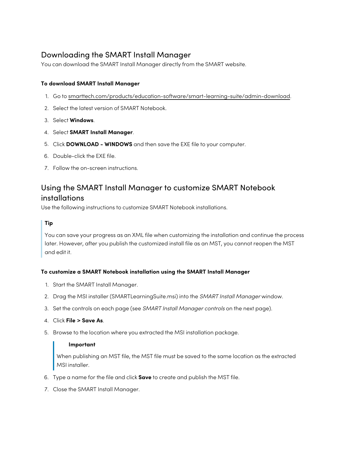### <span id="page-18-0"></span>Downloading the SMART Install Manager

You can download the SMART Install Manager directly from the SMART website.

### **To download SMART Install Manager**

- 1. Go to [smarttech.com/products/education-software/smart-learning-suite/admin-download](https://legacy.smarttech.com/products/education-software/smart-learning-suite/admin-download).
- 2. Select the latest version of SMART Notebook.
- 3. Select **Windows**.
- 4. Select **SMART Install Manager**.
- 5. Click **DOWNLOAD - WINDOWS** and then save the EXE file to your computer.
- 6. Double-click the EXE file.
- <span id="page-18-1"></span>7. Follow the on-screen instructions.

### Using the SMART Install Manager to customize SMART Notebook installations

Use the following instructions to customize SMART Notebook installations.

### **Tip**

You can save your progress as an XML file when customizing the installation and continue the process later. However, after you publish the customized install file as an MST, you cannot reopen the MST and edit it.

### **To customize a SMART Notebook installation using the SMART Install Manager**

- 1. Start the SMART Install Manager.
- 2. Drag the MSI installer (SMARTLearningSuite.msi) into the SMART Install Manager window.
- 3. Set the controls on each page (see SMART Install [Manager](#page-19-0) controls on the next page).
- 4. Click **File > Save As**.
- 5. Browse to the location where you extracted the MSI installation package.

### **Important**

When publishing an MST file, the MST file must be saved to the same location as the extracted MSI installer.

- 6. Type a name for the file and click **Save** to create and publish the MST file.
- 7. Close the SMART Install Manager.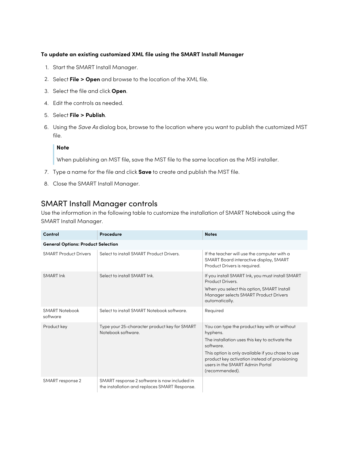### **To update an existing customized XML file using the SMART Install Manager**

- 1. Start the SMART Install Manager.
- 2. Select **File > Open** and browse to the location of the XML file.
- 3. Select the file and click **Open**.
- 4. Edit the controls as needed.
- 5. Select **File > Publish**.
- 6. Using the Save As dialog box, browse to the location where you want to publish the customized MST file.

### **Note**

When publishing an MST file, save the MST file to the same location as the MSI installer.

- 7. Type a name for the file and click **Save** to create and publish the MST file.
- 8. Close the SMART Install Manager.

### <span id="page-19-0"></span>SMART Install Manager controls

Use the information in the following table to customize the installation of SMART Notebook using the SMART Install Manager.

| Control                                   | Procedure                                                                                     | <b>Notes</b>                                                                                                                                                                                                                                                                       |
|-------------------------------------------|-----------------------------------------------------------------------------------------------|------------------------------------------------------------------------------------------------------------------------------------------------------------------------------------------------------------------------------------------------------------------------------------|
| <b>General Options: Product Selection</b> |                                                                                               |                                                                                                                                                                                                                                                                                    |
| <b>SMART Product Drivers</b>              | Select to install SMART Product Drivers.                                                      | If the teacher will use the computer with a<br>SMART Board interactive display, SMART<br>Product Drivers is required.                                                                                                                                                              |
| <b>SMART Ink</b>                          | Select to install SMART Ink.                                                                  | If you install SMART Ink, you must install SMART<br><b>Product Drivers</b><br>When you select this option, SMART Install<br>Manager selects SMART Product Drivers<br>automatically.                                                                                                |
| <b>SMART Notebook</b><br>software         | Select to install SMART Notebook software.                                                    | Required                                                                                                                                                                                                                                                                           |
| Product key                               | Type your 25-character product key for SMART<br>Notebook software                             | You can type the product key with or without<br>hyphens.<br>The installation uses this key to activate the<br>software<br>This option is only available if you chose to use<br>product key activation instead of provisioning<br>users in the SMART Admin Portal<br>(recommended). |
| SMART response 2                          | SMART response 2 software is now included in<br>the installation and replaces SMART Response. |                                                                                                                                                                                                                                                                                    |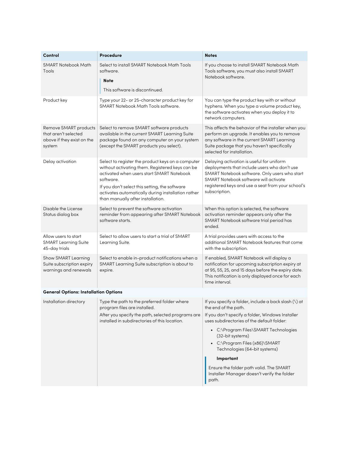<span id="page-20-0"></span>

| Control                                                                               | Procedure                                                                                                                                                                                                                                                                                                   | <b>Notes</b>                                                                                                                                                                                                                                              |  |
|---------------------------------------------------------------------------------------|-------------------------------------------------------------------------------------------------------------------------------------------------------------------------------------------------------------------------------------------------------------------------------------------------------------|-----------------------------------------------------------------------------------------------------------------------------------------------------------------------------------------------------------------------------------------------------------|--|
| <b>SMART Notebook Math</b><br>Tools                                                   | Select to install SMART Notebook Math Tools<br>software.<br>Note<br>This software is discontinued.                                                                                                                                                                                                          | If you choose to install SMART Notebook Math<br>Tools software, you must also install SMART<br>Notebook software.                                                                                                                                         |  |
| Product key                                                                           | Type your 22- or 25-character product key for<br><b>SMART Notebook Math Tools software.</b>                                                                                                                                                                                                                 | You can type the product key with or without<br>hyphens. When you type a volume product key,<br>the software activates when you deploy it to<br>network computers.                                                                                        |  |
| Remove SMART products<br>that aren't selected<br>above if they exist on the<br>system | Select to remove SMART software products<br>available in the current SMART Learning Suite<br>package found on any computer on your system<br>(except the SMART products you select).                                                                                                                        | This affects the behavior of the installer when you<br>perform an upgrade. It enables you to remove<br>any software in the current SMART Learning<br>Suite package that you haven't specifically<br>selected for installation.                            |  |
| Delay activation                                                                      | Select to register the product keys on a computer<br>without activating them. Registered keys can be<br>activated when users start SMART Notebook<br>software.<br>If you don't select this setting, the software<br>activates automatically during installation rather<br>than manually after installation. | Delaying activation is useful for uniform<br>deployments that include users who don't use<br>SMART Notebook software. Only users who start<br>SMART Notebook software will activate<br>registered keys and use a seat from your school's<br>subscription. |  |
| Disable the License<br>Status dialog box                                              | Select to prevent the software activation<br>reminder from appearing after SMART Notebook<br>software starts.                                                                                                                                                                                               | When this option is selected, the software<br>activation reminder appears only after the<br>SMART Notebook software trial period has<br>ended.                                                                                                            |  |
| Allow users to start<br><b>SMART Learning Suite</b><br>45-day trials                  | Select to allow users to start a trial of SMART<br>Learning Suite.                                                                                                                                                                                                                                          | A trial provides users with access to the<br>additional SMART Notebook features that come<br>with the subscription.                                                                                                                                       |  |
| Show SMART Learning<br>Suite subscription expiry<br>warnings and renewals             | Select to enable in-product notifications when a<br>SMART Learning Suite subscription is about to<br>expire.                                                                                                                                                                                                | If enabled, SMART Notebook will display a<br>notification for upcoming subscription expiry at<br>at 95, 55, 25, and 15 days before the expiry date.<br>This notification is only displayed once for each<br>time interval.                                |  |
| <b>General Options: Installation Options</b>                                          |                                                                                                                                                                                                                                                                                                             |                                                                                                                                                                                                                                                           |  |
| Installation directory                                                                | Type the path to the preferred folder where<br>program files are installed.<br>After you specify the path, selected programs are                                                                                                                                                                            | If you specify a folder, include a back slash (\) at<br>the end of the path.<br>If you don't specify a folder, Windows Installer                                                                                                                          |  |
|                                                                                       | installed in subdirectories of this location.                                                                                                                                                                                                                                                               | uses subdirectories of the default folder:                                                                                                                                                                                                                |  |
|                                                                                       |                                                                                                                                                                                                                                                                                                             | • C:\Program Files\SMART Technologies<br>(32-bit systems)                                                                                                                                                                                                 |  |
|                                                                                       |                                                                                                                                                                                                                                                                                                             | • C:\Program Files (x86)\SMART<br>Technologies (64-bit systems)                                                                                                                                                                                           |  |
|                                                                                       |                                                                                                                                                                                                                                                                                                             | Important                                                                                                                                                                                                                                                 |  |
|                                                                                       |                                                                                                                                                                                                                                                                                                             | Ensure the folder path valid. The SMART<br>Installer Manager doesn't verify the folder<br>path.                                                                                                                                                           |  |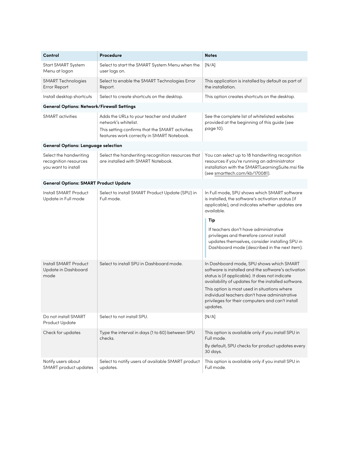| Control                                                                | Procedure                                                                                                                                                          | <b>Notes</b>                                                                                                                                                                                                                                                                                                                                                               |
|------------------------------------------------------------------------|--------------------------------------------------------------------------------------------------------------------------------------------------------------------|----------------------------------------------------------------------------------------------------------------------------------------------------------------------------------------------------------------------------------------------------------------------------------------------------------------------------------------------------------------------------|
| Start SMART System<br>Menu at logon                                    | Select to start the SMART System Menu when the<br>user logs on.                                                                                                    | [N/A]                                                                                                                                                                                                                                                                                                                                                                      |
| <b>SMART Technologies</b><br>Error Report                              | Select to enable the SMART Technologies Error<br>Report.                                                                                                           | This application is installed by default as part of<br>the installation.                                                                                                                                                                                                                                                                                                   |
| Install desktop shortcuts                                              | Select to create shortcuts on the desktop.                                                                                                                         | This option creates shortcuts on the desktop.                                                                                                                                                                                                                                                                                                                              |
| <b>General Options: Network/Firewall Settings</b>                      |                                                                                                                                                                    |                                                                                                                                                                                                                                                                                                                                                                            |
| <b>SMART</b> activities                                                | Adds the URLs to your teacher and student<br>network's whitelist.<br>This setting confirms that the SMART activities<br>features work correctly in SMART Notebook. | See the complete list of whitelisted websites<br>provided at the beginning of this guide (see<br>page 10).                                                                                                                                                                                                                                                                 |
| <b>General Options: Language selection</b>                             |                                                                                                                                                                    |                                                                                                                                                                                                                                                                                                                                                                            |
| Select the handwriting<br>recognition resources<br>you want to install | Select the handwriting recognition resources that<br>are installed with SMART Notebook.                                                                            | You can select up to 18 handwriting recognition<br>resources if you're running an administrator<br>installation with the SMARTLearningSuite.msi file<br>(see smarttech.com/kb/170081).                                                                                                                                                                                     |
| <b>General Options: SMART Product Update</b>                           |                                                                                                                                                                    |                                                                                                                                                                                                                                                                                                                                                                            |
| Install SMART Product<br>Update in Full mode                           | Select to install SMART Product Update (SPU) in<br>Full mode.                                                                                                      | In Full mode, SPU shows which SMART software<br>is installed, the software's activation status (if<br>applicable), and indicates whether updates are<br>available.                                                                                                                                                                                                         |
|                                                                        |                                                                                                                                                                    | Tip<br>If teachers don't have administrative<br>privileges and therefore cannot install<br>updates themselves, consider installing SPU in<br>Dashboard mode (described in the next item).                                                                                                                                                                                  |
| Install SMART Product<br>Update in Dashboard<br>mode                   | Select to install SPU in Dashboard mode.                                                                                                                           | In Dashboard mode, SPU shows which SMART<br>software is installed and the software's activation<br>status is (if applicable). It does not indicate<br>availability of updates for the installed software.<br>This option is most used in situations where<br>individual teachers don't have administrative<br>privileges for their computers and can't install<br>updates. |
| Do not install SMART<br>Product Update                                 | Select to not install SPU.                                                                                                                                         | [N/A]                                                                                                                                                                                                                                                                                                                                                                      |
| Check for updates                                                      | Type the interval in days (1 to 60) between SPU<br>checks.                                                                                                         | This option is available only if you install SPU in<br>Full mode.<br>By default, SPU checks for product updates every<br>30 days.                                                                                                                                                                                                                                          |
| Notify users about<br>SMART product updates                            | Select to notify users of available SMART product<br>updates.                                                                                                      | This option is available only if you install SPU in<br>Full mode.                                                                                                                                                                                                                                                                                                          |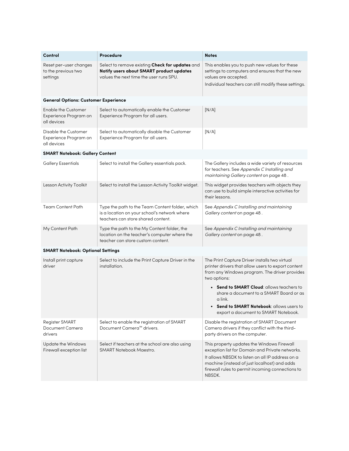| Control                                                            | Procedure                                                                                                                              | <b>Notes</b>                                                                                                                                                                                                                                                    |
|--------------------------------------------------------------------|----------------------------------------------------------------------------------------------------------------------------------------|-----------------------------------------------------------------------------------------------------------------------------------------------------------------------------------------------------------------------------------------------------------------|
| Reset per-user changes<br>to the previous two<br>settings          | Select to remove existing Check for updates and<br>Notify users about SMART product updates<br>values the next time the user runs SPU. | This enables you to push new values for these<br>settings to computers and ensures that the new<br>values are accepted.<br>Individual teachers can still modify these settings.                                                                                 |
| <b>General Options: Customer Experience</b>                        |                                                                                                                                        |                                                                                                                                                                                                                                                                 |
| <b>Enable the Customer</b><br>Experience Program on<br>all devices | Select to automatically enable the Customer<br>Experience Program for all users.                                                       | [N/A]                                                                                                                                                                                                                                                           |
| Disable the Customer<br>Experience Program on<br>all devices       | Select to automatically disable the Customer<br>Experience Program for all users.                                                      | [N/A]                                                                                                                                                                                                                                                           |
| <b>SMART Notebook: Gallery Content</b>                             |                                                                                                                                        |                                                                                                                                                                                                                                                                 |
| <b>Gallery Essentials</b>                                          | Select to install the Gallery essentials pack.                                                                                         | The Gallery includes a wide variety of resources<br>for teachers. See Appendix C Installing and<br>maintaining Gallery content on page 48.                                                                                                                      |
| Lesson Activity Toolkit                                            | Select to install the Lesson Activity Toolkit widget.                                                                                  | This widget provides teachers with objects they<br>can use to build simple interactive activities for<br>their lessons.                                                                                                                                         |
| <b>Team Content Path</b>                                           | Type the path to the Team Content folder, which<br>is a location on your school's network where<br>teachers can store shared content.  | See Appendix C Installing and maintaining<br>Gallery content on page 48.                                                                                                                                                                                        |
| My Content Path                                                    | Type the path to the My Content folder, the<br>location on the teacher's computer where the<br>teacher can store custom content.       | See Appendix C Installing and maintaining<br>Gallery content on page 48.                                                                                                                                                                                        |
| <b>SMART Notebook: Optional Settings</b>                           |                                                                                                                                        |                                                                                                                                                                                                                                                                 |
| Install print capture<br>driver                                    | Select to include the Print Capture Driver in the<br>installation.                                                                     | The Print Capture Driver installs two virtual<br>printer drivers that allow users to export content<br>from any Windows program. The driver provides<br>two options:                                                                                            |
|                                                                    |                                                                                                                                        | • Send to SMART Cloud: allows teachers to<br>share a document to a SMART Board or as<br>a link.                                                                                                                                                                 |
|                                                                    |                                                                                                                                        | • Send to SMART Notebook: allows users to<br>export a document to SMART Notebook.                                                                                                                                                                               |
| Register SMART<br>Document Camera<br>drivers                       | Select to enable the registration of SMART<br>Document Camera™ drivers.                                                                | Disable the registration of SMART Document<br>Camera drivers if they conflict with the third-<br>party drivers on the computer.                                                                                                                                 |
| Update the Windows<br>Firewall exception list                      | Select if teachers at the school are also using<br>SMART Notebook Maestro.                                                             | This property updates the Windows Firewall<br>exception list for Domain and Private networks.<br>It allows NBSDK to listen on all IP address on a<br>machine (instead of just localhost) and adds<br>firewall rules to permit incoming connections to<br>NBSDK. |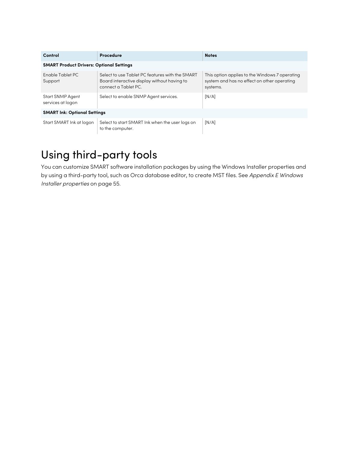| Control                                         | Procedure                                                                                                              | <b>Notes</b>                                                                                              |  |
|-------------------------------------------------|------------------------------------------------------------------------------------------------------------------------|-----------------------------------------------------------------------------------------------------------|--|
| <b>SMART Product Drivers: Optional Settings</b> |                                                                                                                        |                                                                                                           |  |
| Enable Tablet PC<br>Support                     | Select to use Tablet PC features with the SMART<br>Board interactive display without having to<br>connect a Tablet PC. | This option applies to the Windows 7 operating<br>system and has no effect on other operating<br>systems. |  |
| <b>Start SNMP Agent</b><br>services at logon    | Select to enable SNMP Agent services.                                                                                  | [N/A]                                                                                                     |  |
| <b>SMART Ink: Optional Settings</b>             |                                                                                                                        |                                                                                                           |  |
| Start SMART Ink at logon                        | Select to start SMART Ink when the user logs on<br>to the computer.                                                    | [N/A]                                                                                                     |  |

## <span id="page-23-0"></span>Using third-party tools

You can customize SMART software installation packages by using the Windows Installer properties and by using a third-party tool, such as Orca database editor, to create MST files. See [Appendix](#page-54-0) <sup>E</sup> Windows Installer [properties](#page-54-0) on page 55.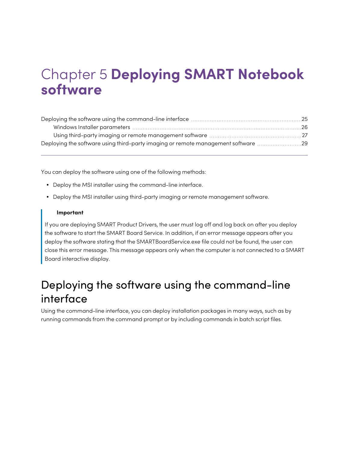# <span id="page-24-0"></span>Chapter 5 **Deploying SMART Notebook software**

| Deploying the software using third-party imaging or remote management software 29 |  |
|-----------------------------------------------------------------------------------|--|

You can deploy the software using one of the following methods:

- Deploy the MSI installer using the command-line interface.
- Deploy the MSI installer using third-party imaging or remote management software.

### **Important**

If you are deploying SMART Product Drivers, the user must log off and log back on after you deploy the software to start the SMART Board Service. In addition, if an error message appears after you deploy the software stating that the SMARTBoardService.exe file could not be found, the user can close this error message. This message appears only when the computer is not connected to a SMART Board interactive display.

## <span id="page-24-1"></span>Deploying the software using the command-line interface

Using the command-line interface, you can deploy installation packages in many ways, such as by running commands from the command prompt or by including commands in batch script files.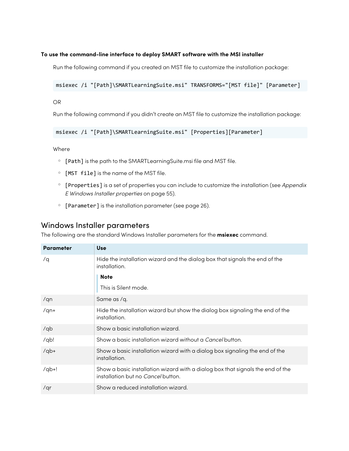### **To use the command-line interface to deploy SMART software with the MSI installer**

Run the following command if you created an MST file to customize the installation package:

msiexec /i "[Path]\SMARTLearningSuite.msi" TRANSFORMS="[MST file]" [Parameter]

OR

Run the following command if you didn't create an MST file to customize the installation package:

msiexec /i "[Path]\SMARTLearningSuite.msi" [Properties][Parameter]

**Where** 

- <sup>o</sup> [Path] is the path to the SMARTLearningSuite.msi file and MST file.
- <sup>o</sup> [MST file] is the name of the MST file.
- <sup>o</sup> [Properties] is a set of properties you can include to customize the installation (see [Appendix](#page-54-0) <sup>E</sup> Windows Installer [properties](#page-54-0) on page 55).
- <sup>o</sup> [Parameter] is the installation parameter (see [page](#page-25-0) 26).

### <span id="page-25-0"></span>Windows Installer parameters

The following are the standard Windows Installer parameters for the **msiexec** command.

| <b>Parameter</b> | <b>Use</b>                                                                                                                  |
|------------------|-----------------------------------------------------------------------------------------------------------------------------|
| /q               | Hide the installation wizard and the dialog box that signals the end of the<br>installation.                                |
|                  | <b>Note</b>                                                                                                                 |
|                  | This is Silent mode.                                                                                                        |
| /qn              | Same as /q.                                                                                                                 |
| $/qn+$           | Hide the installation wizard but show the dialog box signaling the end of the<br>installation.                              |
| /qb              | Show a basic installation wizard.                                                                                           |
| $\sqrt{qb}$      | Show a basic installation wizard without a <i>Cancel</i> button.                                                            |
| $q$ b+           | Show a basic installation wizard with a dialog box signaling the end of the<br>installation.                                |
| $q_{\text{b+1}}$ | Show a basic installation wizard with a dialog box that signals the end of the<br>installation but no <i>Cancel</i> button. |
| /qr              | Show a reduced installation wizard.                                                                                         |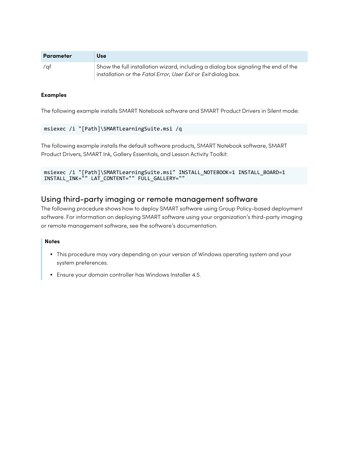| <b>Parameter</b> | Use                                                                                                                                                                |
|------------------|--------------------------------------------------------------------------------------------------------------------------------------------------------------------|
| /qf              | $\frac{1}{2}$ Show the full installation wizard, including a dialog box signaling the end of the<br>installation or the Fatal Error, User Exit or Exit dialog box. |

### **Examples**

The following example installs SMART Notebook software and SMART Product Drivers in Silent mode:

```
msiexec /i "[Path]\SMARTLearningSuite.msi /q
```
The following example installs the default software products, SMART Notebook software, SMART Product Drivers, SMART Ink, Gallery Essentials, and Lesson Activity Toolkit:

```
msiexec /i "[Path]\SMARTLearningSuite.msi" INSTALL_NOTEBOOK=1 INSTALL_BOARD=1
INSTALL_INK="" LAT_CONTENT="" FULL_GALLERY=""
```
### <span id="page-26-0"></span>Using third-party imaging or remote management software

The following procedure shows how to deploy SMART software using Group Policy-based deployment software. For information on deploying SMART software using your organization's third-party imaging or remote management software, see the software's documentation.

### **Notes**

- This procedure may vary depending on your version of Windows operating system and your system preferences.
- Ensure your domain controller has Windows Installer 4.5.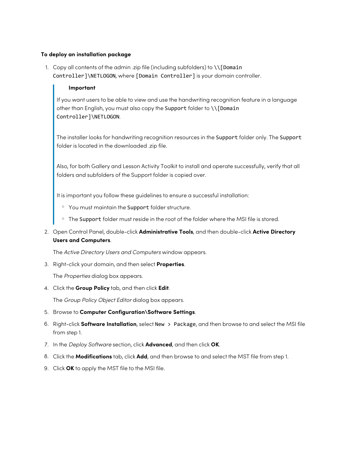### **To deploy an installation package**

1. Copy all contents of the admin .zip file (including subfolders) to \\[Domain Controller]\NETLOGON, where [Domain Controller] is your domain controller.

#### **Important**

If you want users to be able to view and use the handwriting recognition feature in a language other than English, you must also copy the Support folder to \\[Domain Controller]\NETLOGON.

The installer looks for handwriting recognition resources in the Support folder only. The Support folder is located in the downloaded .zip file.

Also, for both Gallery and Lesson Activity Toolkit to install and operate successfully, verify that all folders and subfolders of the Support folder is copied over.

It is important you follow these guidelines to ensure a successful installation:

- o You must maintain the Support folder structure.
- <sup>o</sup> The Support folder must reside in the root of the folder where the MSI file is stored.
- 2. Open Control Panel, double-click **Administrative Tools**, and then double-click **Active Directory Users and Computers**.

The Active Directory Users and Computers window appears.

3. Right-click your domain, and then select **Properties**.

The Properties dialog box appears.

4. Click the **Group Policy** tab, and then click **Edit**.

The Group Policy Object Editor dialog box appears.

- 5. Browse to **Computer Configuration\Software Settings**.
- 6. Right-click **Software Installation**, select New > Package, and then browse to and select the MSI file from step 1.
- 7. In the Deploy Software section, click **Advanced**, and then click **OK**.
- 8. Click the **Modifications** tab, click **Add**, and then browse to and select the MST file from step 1.
- 9. Click **OK** to apply the MST file to the MSI file.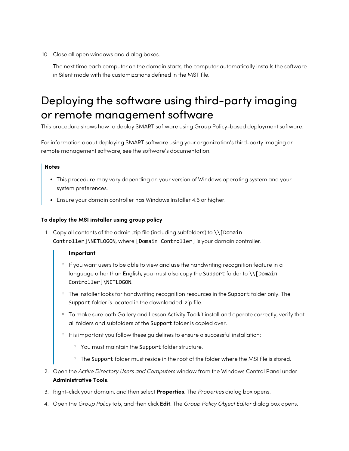10. Close all open windows and dialog boxes.

The next time each computer on the domain starts, the computer automatically installs the software in Silent mode with the customizations defined in the MST file.

## <span id="page-28-0"></span>Deploying the software using third-party imaging or remote management software

This procedure shows how to deploy SMART software using Group Policy-based deployment software.

For information about deploying SMART software using your organization's third-party imaging or remote management software, see the software's documentation.

### **Notes**

- This procedure may vary depending on your version of Windows operating system and your system preferences.
- Ensure your domain controller has Windows Installer 4.5 or higher.

### **To deploy the MSI installer using group policy**

1. Copy all contents of the admin .zip file (including subfolders) to \\[Domain Controller]\NETLOGON, where [Domain Controller] is your domain controller.

#### **Important**

- o If you want users to be able to view and use the handwriting recognition feature in a language other than English, you must also copy the Support folder to \\[Domain Controller]\NETLOGON.
- o The installer looks for handwriting recognition resources in the Support folder only. The Support folder is located in the downloaded .zip file.
- o To make sure both Gallery and Lesson Activity Toolkit install and operate correctly, verify that all folders and subfolders of the Support folder is copied over.
- o It is important you follow these guidelines to ensure a successful installation:
	- <sup>o</sup> You must maintain the Support folder structure.
	- $\circ$  The Support folder must reside in the root of the folder where the MSI file is stored.
- 2. Open the Active Directory Users and Computers window from the Windows Control Panel under **Administrative Tools**.
- 3. Right-click your domain, and then select **Properties**. The Properties dialog box opens.
- 4. Open the Group Policy tab, and then click **Edit**. The Group Policy Object Editor dialog box opens.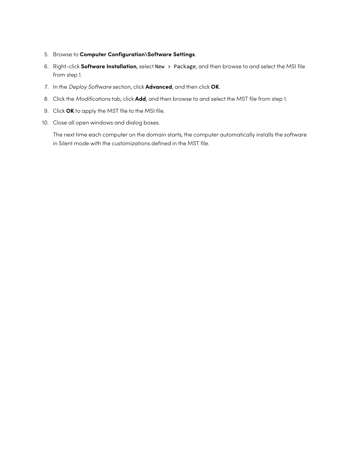- 5. Browse to **Computer Configuration\Software Settings**.
- 6. Right-click **Software Installation**, select New > Package, and then browse to and select the MSI file from step 1.
- 7. In the Deploy Software section, click **Advanced**, and then click **OK**.
- 8. Click the Modifications tab, click **Add**, and then browse to and select the MST file from step 1.
- 9. Click **OK** to apply the MST file to the MSI file.
- 10. Close all open windows and dialog boxes.

The next time each computer on the domain starts, the computer automatically installs the software in Silent mode with the customizations defined in the MST file.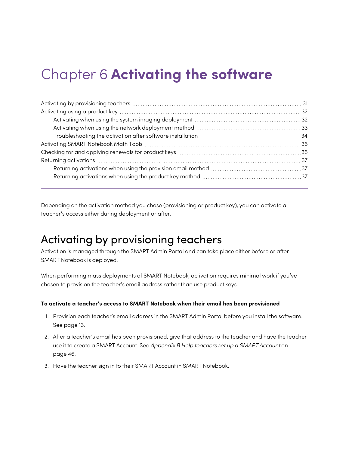# <span id="page-30-0"></span>Chapter 6 **Activating the software**

| Activating when using the system imaging deployment material contains and all all all all all all all all all a |  |
|-----------------------------------------------------------------------------------------------------------------|--|
|                                                                                                                 |  |
|                                                                                                                 |  |
|                                                                                                                 |  |
|                                                                                                                 |  |
|                                                                                                                 |  |
|                                                                                                                 |  |
|                                                                                                                 |  |
|                                                                                                                 |  |

Depending on the activation method you chose (provisioning or product key), you can activate a teacher's access either during deployment or after.

### <span id="page-30-1"></span>Activating by provisioning teachers

Activation is managed through the SMART Admin Portal and can take place either before or after SMART Notebook is deployed.

When performing mass deployments of SMART Notebook, activation requires minimal work if you've chosen to provision the teacher's email address rather than use product keys.

### **To activate a teacher's access to SMART Notebook when their email has been provisioned**

- 1. Provision each teacher's email address in the SMART Admin Portal before you install the software. See [page](#page-12-0) 13.
- 2. After a teacher's email has been provisioned, give that address to the teacher and have the teacher use it to create a SMART Account. See [Appendix](#page-45-0) B Help teachers set up a SMART Account on [page](#page-45-0) 46.
- 3. Have the teacher sign in to their SMART Account in SMART Notebook.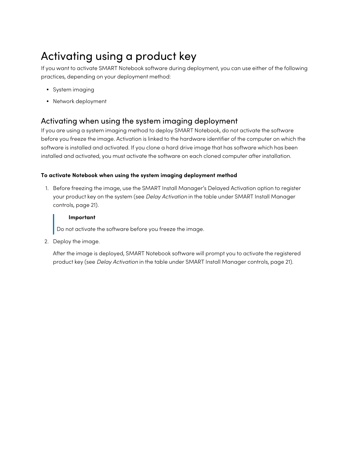## <span id="page-31-0"></span>Activating using a product key

If you want to activate SMART Notebook software during deployment, you can use either of the following practices, depending on your deployment method:

- System imaging
- Network deployment

### <span id="page-31-1"></span>Activating when using the system imaging deployment

If you are using a system imaging method to deploy SMART Notebook, do not activate the software before you freeze the image. Activation is linked to the hardware identifier of the computer on which the software is installed and activated. If you clone a hard drive image that has software which has been installed and activated, you must activate the software on each cloned computer after installation.

### **To activate Notebook when using the system imaging deployment method**

1. Before freezing the image, use the SMART Install Manager's Delayed Activation option to register your product key on the system (see Delay Activation in the table under SMART Install Manager controls, [page](#page-20-0) 21).

### **Important**

Do not activate the software before you freeze the image.

2. Deploy the image.

After the image is deployed, SMART Notebook software will prompt you to activate the registered product key (see Delay Activation in the table under SMART Install Manager controls, [page](#page-20-0) 21).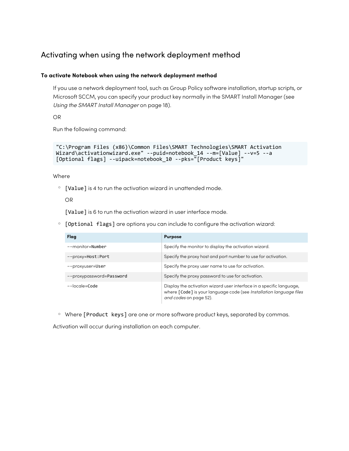### <span id="page-32-0"></span>Activating when using the network deployment method

### **To activate Notebook when using the network deployment method**

If you use a network deployment tool, such as Group Policy software installation, startup scripts, or Microsoft SCCM, you can specify your product key normally in the SMART Install Manager (see Using the SMART Install [Manager](#page-17-1) on page 18).

OR

Run the following command:

```
"C:\Program Files (x86)\Common Files\SMART Technologies\SMART Activation
Wizard\activationwizard.exe" --puid=notebook_14 --m=[Value] --v=5 --a
[Optional flags] --uipack=notebook_10 --pks="[Product keys]"
```
Where

 $\degree$  [Value] is 4 to run the activation wizard in unattended mode.

OR

[Value] is 6 to run the activation wizard in user interface mode.

<sup>o</sup> [Optional flags] are options you can include to configure the activation wizard:

| Flag                     | <b>Purpose</b>                                                                                                                                                        |
|--------------------------|-----------------------------------------------------------------------------------------------------------------------------------------------------------------------|
| $--$ monitor=Number      | Specify the monitor to display the activation wizard.                                                                                                                 |
| --proxy=Host:Port        | Specify the proxy host and port number to use for activation.                                                                                                         |
| --proxyuser=User         | Specify the proxy user name to use for activation.                                                                                                                    |
| --proxypassword=Password | Specify the proxy password to use for activation.                                                                                                                     |
| $-$ locale=Code          | Display the activation wizard user interface in a specific language,<br>where [Code] is your language code (see Installation language files<br>and codes on page 52). |

o Where [Product keys] are one or more software product keys, separated by commas.

Activation will occur during installation on each computer.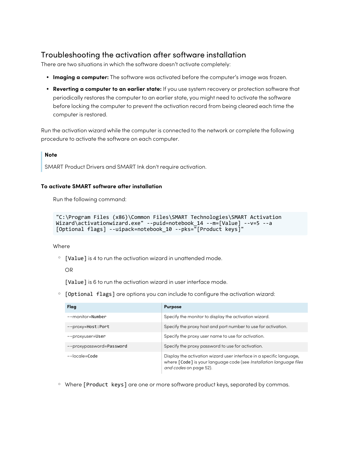### <span id="page-33-0"></span>Troubleshooting the activation after software installation

There are two situations in which the software doesn't activate completely:

- **Imaging a computer:** The software was activated before the computer's image was frozen.
- <sup>l</sup> **Reverting a computer to an earlier state:** If you use system recovery or protection software that periodically restores the computer to an earlier state, you might need to activate the software before locking the computer to prevent the activation record from being cleared each time the computer is restored.

Run the activation wizard while the computer is connected to the network or complete the following procedure to activate the software on each computer.

### **Note**

SMART Product Drivers and SMART Ink don't require activation.

#### **To activate SMART software after installation**

Run the following command:

```
"C:\Program Files (x86)\Common Files\SMART Technologies\SMART Activation
Wizard\activationwizard.exe" --puid=notebook_14 --m=[Value] --v=5 --a
[Optional flags] --uipack=notebook_10 --pks="[Product keys]"
```
Where

 $\circ$  [Value] is 4 to run the activation wizard in unattended mode.

OR

[Value] is 6 to run the activation wizard in user interface mode.

<sup>o</sup> [Optional flags] are options you can include to configure the activation wizard:

| Flag                     | <b>Purpose</b>                                                                                                                                                        |
|--------------------------|-----------------------------------------------------------------------------------------------------------------------------------------------------------------------|
| $--$ monitor=Number      | Specify the monitor to display the activation wizard.                                                                                                                 |
| --proxy=Host:Port        | Specify the proxy host and port number to use for activation.                                                                                                         |
| --proxyuser=User         | Specify the proxy user name to use for activation.                                                                                                                    |
| --proxypassword=Password | Specify the proxy password to use for activation.                                                                                                                     |
| $-$ locale=Code          | Display the activation wizard user interface in a specific language,<br>where [Code] is your language code (see Installation language files<br>and codes on page 52). |

o Where [Product keys] are one or more software product keys, separated by commas.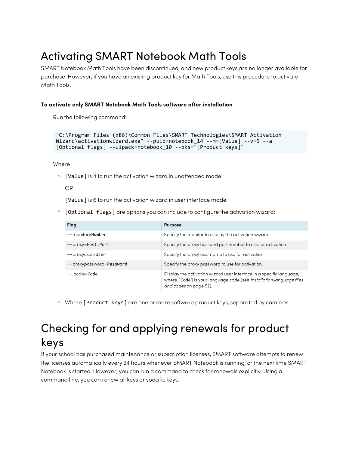## <span id="page-34-0"></span>Activating SMART Notebook Math Tools

SMART Notebook Math Tools have been discontinued, and new product keys are no longer available for purchase. However, if you have an existing product key for Math Tools, use this procedure to activate Math Tools.

### **To activate only SMART Notebook Math Tools software after installation**

Run the following command:

```
"C:\Program Files (x86)\Common Files\SMART Technologies\SMART Activation
Wizard\activationwizard.exe" --puid=notebook_14 --m=[Value] --v=5 --a
[Optional flags] --uipack=notebook_10 --pks="[Product keys]"
```
**Where** 

 $\degree$  [Value] is 4 to run the activation wizard in unattended mode.

OR

[Value] is 6 to run the activation wizard in user interface mode.

 $\circ$  [Optional flags] are options you can include to configure the activation wizard:

| Flag                     | <b>Purpose</b>                                                                                                                                                        |
|--------------------------|-----------------------------------------------------------------------------------------------------------------------------------------------------------------------|
| --monitor=Number         | Specify the monitor to display the activation wizard.                                                                                                                 |
| --proxy=Host:Port        | Specify the proxy host and port number to use for activation.                                                                                                         |
| --proxyuser=User         | Specify the proxy user name to use for activation.                                                                                                                    |
| --proxypassword=Password | Specify the proxy password to use for activation.                                                                                                                     |
| --locale=Code            | Display the activation wizard user interface in a specific language,<br>where [Code] is your language code (see Installation language files<br>and codes on page 52). |

o Where [Product keys] are one or more software product keys, separated by commas.

## <span id="page-34-1"></span>Checking for and applying renewals for product keys

If your school has purchased maintenance or subscription licenses, SMART software attempts to renew the licenses automatically every 24 hours whenever SMART Notebook is running, or the next time SMART Notebook is started. However, you can run a command to check for renewals explicitly. Using a command line, you can renew all keys or specific keys.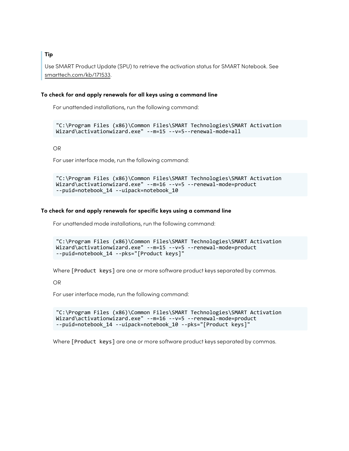**Tip**

Use SMART Product Update (SPU) to retrieve the activation status for SMART Notebook. See [smarttech.com/kb/171533.](http://smarttech.com/kb/171533)

#### **To check for and apply renewals for all keys using a command line**

For unattended installations, run the following command:

```
"C:\Program Files (x86)\Common Files\SMART Technologies\SMART Activation
Wizard\activationwizard.exe" --m=15 --v=5--renewal-mode=all
```
OR

For user interface mode, run the following command:

```
"C:\Program Files (x86)\Common Files\SMART Technologies\SMART Activation
Wizard\activationwizard.exe" --m=16 --v=5 --renewal-mode=product
--puid=notebook_14 --uipack=notebook_10
```
#### **To check for and apply renewals for specific keys using a command line**

For unattended mode installations, run the following command:

```
"C:\Program Files (x86)\Common Files\SMART Technologies\SMART Activation
Wizard\activationwizard.exe" --m=15 --v=5 --renewal-mode=product
--puid=notebook_14 --pks="[Product keys]"
```
Where [Product keys] are one or more software product keys separated by commas.

OR

For user interface mode, run the following command:

```
"C:\Program Files (x86)\Common Files\SMART Technologies\SMART Activation
Wizard\activationwizard.exe" --m=16 --v=5 --renewal-mode=product
--puid=notebook_14 --uipack=notebook_10 --pks="[Product keys]"
```
Where [Product keys] are one or more software product keys separated by commas.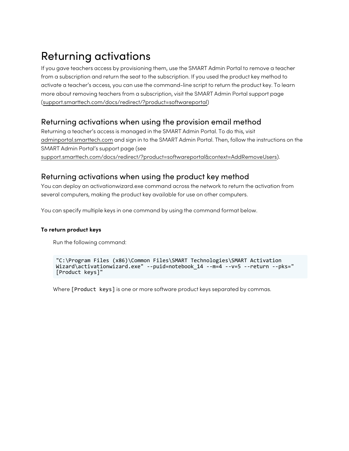## <span id="page-36-0"></span>Returning activations

If you gave teachers access by provisioning them, use the SMART Admin Portal to remove a teacher from a subscription and return the seat to the subscription. If you used the product key method to activate a teacher's access, you can use the command-line script to return the product key. To learn more about removing teachers from a subscription, visit the SMART Admin Portal support page [\(support.smarttech.com/docs/redirect/?product=softwareportal\)](https://support.smarttech.com/docs/redirect/?product=softwareportal)

### <span id="page-36-1"></span>Returning activations when using the provision email method

Returning a teacher's access is managed in the SMART Admin Portal. To do this, visit [adminportal.smarttech.com](http://subscriptions.smarttech.com/) and sign in to the SMART Admin Portal. Then, follow the instructions on the SMART Admin Portal's support page (see [support.smarttech.com/docs/redirect/?product=softwareportal&context=AddRemoveUsers\)](https://support.smarttech.com/docs/redirect/?product=softwareportal&context=AddRemoveUsers).

### <span id="page-36-2"></span>Returning activations when using the product key method

You can deploy an activationwizard.exe command across the network to return the activation from several computers, making the product key available for use on other computers.

You can specify multiple keys in one command by using the command format below.

### **To return product keys**

Run the following command:

```
"C:\Program Files (x86)\Common Files\SMART Technologies\SMART Activation
Wizard\activationwizard.exe" --puid=notebook_14 --m=4 --v=5 --return --pks="
[Product keys]"
```
Where [Product keys] is one or more software product keys separated by commas.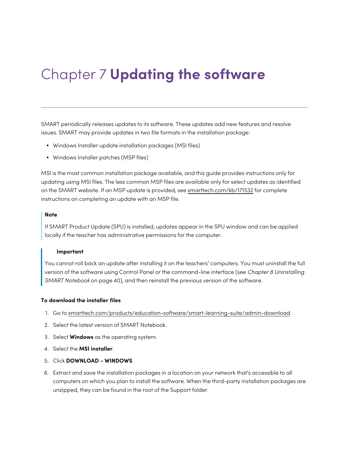# <span id="page-37-0"></span>Chapter 7 **Updating the software**

SMART periodically releases updates to its software. These updates add new features and resolve issues. SMART may provide updates in two file formats in the installation package:

- Windows Installer update installation packages (MSI files)
- Windows Installer patches (MSP files)

MSI is the most common installation package available, and this guide provides instructions only for updating using MSI files. The less common MSP files are available only for select updates as identified on the SMART website. If an MSP update is provided, see [smarttech.com/kb/171532](https://smarttech.com/kb/171532) for complete instructions on completing an update with an MSP file.

#### **Note**

If SMART Product Update (SPU) is installed, updates appear in the SPU window and can be applied locally if the teacher has administrative permissions for the computer.

#### **Important**

You cannot roll back an update after installing it on the teachers' computers. You must uninstall the full version of the software using Control Panel or the command-line interface (see Chapter 8 [Uninstalling](#page-39-0) SMART [Notebook](#page-39-0) on page 40), and then reinstall the previous version of the software.

#### **To download the installer files**

- 1. Go to [smarttech.com/products/education-software/smart-learning-suite/admin-download](https://legacy.smarttech.com/products/education-software/smart-learning-suite/admin-download).
- 2. Select the latest version of SMART Notebook.
- 3. Select **Windows** as the operating system.
- 4. Select the **MSI installer**.
- 5. Click **DOWNLOAD - WINDOWS**.
- 6. Extract and save the installation packages in a location on your network that's accessible to all computers on which you plan to install the software. When the third-party installation packages are unzipped, they can be found in the root of the Support folder.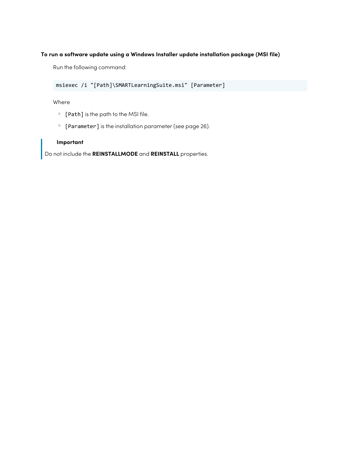### **To run a software update using a Windows Installer update installation package (MSI file)**

Run the following command:

msiexec /i "[Path]\SMARTLearningSuite.msi" [Parameter]

Where

- <sup>o</sup> [Path] is the path to the MSI file.
- <sup>o</sup> [Parameter] is the installation parameter (see [page](#page-25-0) 26).

### **Important**

Do not include the **REINSTALLMODE** and **REINSTALL** properties.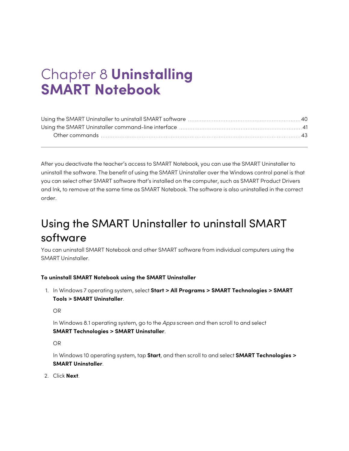# <span id="page-39-0"></span>Chapter 8 **Uninstalling SMART Notebook**

After you deactivate the teacher's access to SMART Notebook, you can use the SMART Uninstaller to uninstall the software. The benefit of using the SMART Uninstaller over the Windows control panel is that you can select other SMART software that's installed on the computer, such as SMART Product Drivers and Ink, to remove at the same time as SMART Notebook. The software is also uninstalled in the correct order.

## <span id="page-39-1"></span>Using the SMART Uninstaller to uninstall SMART software

You can uninstall SMART Notebook and other SMART software from individual computers using the SMART Uninstaller.

### **To uninstall SMART Notebook using the SMART Uninstaller**

1. In Windows 7 operating system, select **Start > All Programs > SMART Technologies > SMART Tools > SMART Uninstaller**.

OR

In Windows 8.1 operating system, go to the Apps screen and then scroll to and select **SMART Technologies > SMART Uninstaller**.

OR

In Windows 10 operating system, tap **Start**, and then scroll to and select **SMART Technologies > SMART Uninstaller**.

2. Click **Next**.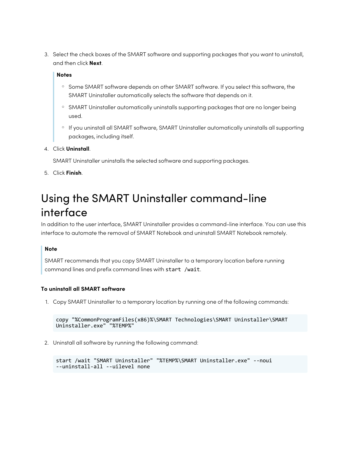3. Select the check boxes of the SMART software and supporting packages that you want to uninstall, and then click **Next**.

### **Notes**

- <sup>o</sup> Some SMART software depends on other SMART software. If you select this software, the SMART Uninstaller automatically selects the software that depends on it.
- **SMART Uninstaller automatically uninstalls supporting packages that are no longer being** used.
- o If you uninstall all SMART software, SMART Uninstaller automatically uninstalls all supporting packages, including itself.

### 4. Click **Uninstall**.

SMART Uninstaller uninstalls the selected software and supporting packages.

<span id="page-40-0"></span>5. Click **Finish**.

## Using the SMART Uninstaller command-line interface

In addition to the user interface, SMART Uninstaller provides a command-line interface. You can use this interface to automate the removal of SMART Notebook and uninstall SMART Notebook remotely.

### **Note**

SMART recommends that you copy SMART Uninstaller to a temporary location before running command lines and prefix command lines with start /wait.

### **To uninstall all SMART software**

1. Copy SMART Uninstaller to a temporary location by running one of the following commands:

```
copy "%CommonProgramFiles(x86)%\SMART Technologies\SMART Uninstaller\SMART
Uninstaller.exe" "%TEMP%"
```
2. Uninstall all software by running the following command:

```
start /wait "SMART Uninstaller" "%TEMP%\SMART Uninstaller.exe" --noui
--uninstall-all --uilevel none
```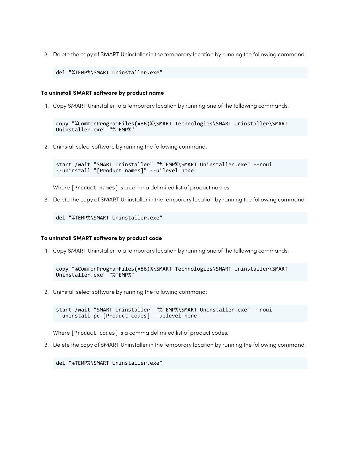3. Delete the copy of SMART Uninstaller in the temporary location by running the following command:

del "%TEMP%\SMART Uninstaller.exe"

#### **To uninstall SMART software by product name**

1. Copy SMART Uninstaller to a temporary location by running one of the following commands:

```
copy "%CommonProgramFiles(x86)%\SMART Technologies\SMART Uninstaller\SMART
Uninstaller.exe" "%TEMP%"
```
2. Uninstall select software by running the following command:

```
start /wait "SMART Uninstaller" "%TEMP%\SMART Uninstaller.exe" --noui
--uninstall "[Product names]" --uilevel none
```
Where [Product names] is a comma delimited list of product names.

3. Delete the copy of SMART Uninstaller in the temporary location by running the following command:

```
del "%TEMP%\SMART Uninstaller.exe"
```
#### **To uninstall SMART software by product code**

1. Copy SMART Uninstaller to a temporary location by running one of the following commands:

```
copy "%CommonProgramFiles(x86)%\SMART Technologies\SMART Uninstaller\SMART
Uninstaller.exe" "%TEMP%"
```
2. Uninstall select software by running the following command:

```
start /wait "SMART Uninstaller" "%TEMP%\SMART Uninstaller.exe" --noui
--uninstall-pc [Product codes] --uilevel none
```
Where [Product codes] is a comma delimited list of product codes.

3. Delete the copy of SMART Uninstaller in the temporary location by running the following command:

del "%TEMP%\SMART Uninstaller.exe"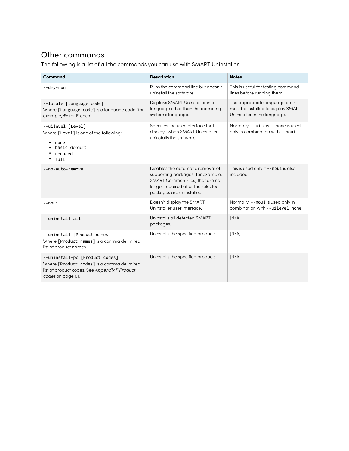### <span id="page-42-0"></span>Other commands

The following is a list of all the commands you can use with SMART Uninstaller.

| Command                                                                                                                                            | <b>Description</b>                                                                                                                                                           | <b>Notes</b>                                                                                        |
|----------------------------------------------------------------------------------------------------------------------------------------------------|------------------------------------------------------------------------------------------------------------------------------------------------------------------------------|-----------------------------------------------------------------------------------------------------|
| --dry-run                                                                                                                                          | Runs the command line but doesn't<br>uninstall the software.                                                                                                                 | This is useful for testing command<br>lines before running them.                                    |
| --locale [Language code]<br>Where [Language code] is a language code (for<br>example, fr for French)                                               | Displays SMART Uninstaller in a<br>language other than the operating<br>system's language.                                                                                   | The appropriate language pack<br>must be installed to display SMART<br>Uninstaller in the language. |
| --uilevel [Level]<br>Where [Level] is one of the following:<br>none<br>basic (default)<br>reduced<br>full                                          | Specifies the user interface that<br>displays when SMART Uninstaller<br>uninstalls the software.                                                                             | Normally, --uilevel none is used<br>only in combination with --noui.                                |
| --no-auto-remove                                                                                                                                   | Disables the automatic removal of<br>supporting packages (for example,<br>SMART Common Files) that are no<br>longer required after the selected<br>packages are uninstalled. | This is used only if --noui is also<br>included.                                                    |
| --noui                                                                                                                                             | Doesn't display the SMART<br>Uninstaller user interface.                                                                                                                     | Normally, --noui is used only in<br>combination with --uilevel none.                                |
| --uninstall-all                                                                                                                                    | Uninstalls all detected SMART<br>packages.                                                                                                                                   | [N/A]                                                                                               |
| --uninstall [Product names]<br>Where [Product names] is a comma delimited<br>list of product names                                                 | Uninstalls the specified products.                                                                                                                                           | [N/A]                                                                                               |
| --uninstall-pc [Product codes]<br>Where [Product codes] is a comma delimited<br>list of product codes. See Appendix F Product<br>codes on page 61. | Uninstalls the specified products.                                                                                                                                           | [N/A]                                                                                               |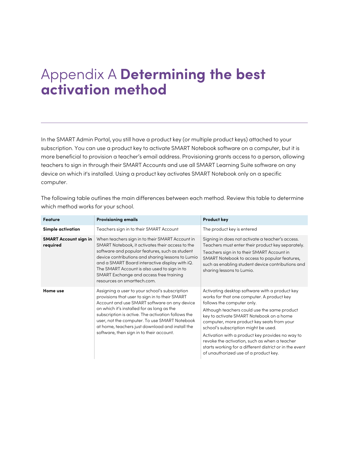# <span id="page-43-0"></span>Appendix A **Determining the best activation method**

In the SMART Admin Portal, you still have a product key (or multiple product keys) attached to your subscription. You can use a product key to activate SMART Notebook software on a computer, but it is more beneficial to provision a teacher's email address. Provisioning grants access to a person, allowing teachers to sign in through their SMART Accounts and use all SMART Learning Suite software on any device on which it's installed. Using a product key activates SMART Notebook only on a specific computer.

| <b>Feature</b>                           | <b>Provisioning emails</b>                                                                                                                                                                                                                                                                                                                                                                           | <b>Product key</b>                                                                                                                                                                                                                                                                                                                                                                                                                                                                                                    |
|------------------------------------------|------------------------------------------------------------------------------------------------------------------------------------------------------------------------------------------------------------------------------------------------------------------------------------------------------------------------------------------------------------------------------------------------------|-----------------------------------------------------------------------------------------------------------------------------------------------------------------------------------------------------------------------------------------------------------------------------------------------------------------------------------------------------------------------------------------------------------------------------------------------------------------------------------------------------------------------|
| <b>Simple activation</b>                 | Teachers sign in to their SMART Account                                                                                                                                                                                                                                                                                                                                                              | The product key is entered                                                                                                                                                                                                                                                                                                                                                                                                                                                                                            |
| <b>SMART Account sign in</b><br>required | When teachers sign in to their SMART Account in<br>SMART Notebook, it activates their access to the<br>software and popular features, such as student<br>device contributions and sharing lessons to Lumio<br>and a SMART Board interactive display with iQ.<br>The SMART Account is also used to sign in to<br>SMART Exchange and access free training<br>resources on smarttech.com.               | Signing in does not activate a teacher's access.<br>Teachers must enter their product key separately.<br>Teachers sign in to their SMART Account in<br>SMART Notebook to access to popular features,<br>such as enabling student device contributions and<br>sharing lessons to Lumio.                                                                                                                                                                                                                                |
| Home use                                 | Assigning a user to your school's subscription<br>provisions that user to sign in to their SMART<br>Account and use SMART software on any device<br>on which it's installed for as long as the<br>subscription is active. The activation follows the<br>user, not the computer. To use SMART Notebook<br>at home, teachers just download and install the<br>software, then sign in to their account. | Activating desktop software with a product key<br>works for that one computer. A product key<br>follows the computer only.<br>Although teachers could use the same product<br>key to activate SMART Notebook on a home<br>computer, more product key seats from your<br>school's subscription might be used.<br>Activation with a product key provides no way to<br>revoke the activation, such as when a teacher<br>starts working for a different district or in the event<br>of unauthorized use of a product key. |

The following table outlines the main differences between each method. Review this table to determine which method works for your school.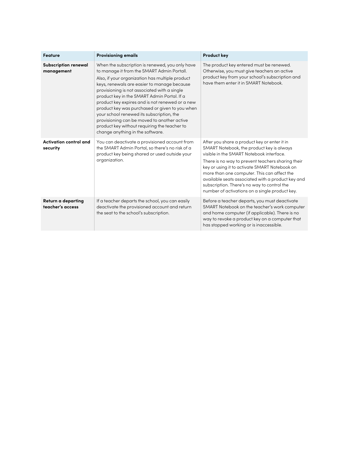| Feature                                   | <b>Provisioning emails</b>                                                                                                                                                                                                                                                                                                                                                                                                                                                                                                                                                          | <b>Product key</b>                                                                                                                                                                                                                                                                                                                                                                                                                               |
|-------------------------------------------|-------------------------------------------------------------------------------------------------------------------------------------------------------------------------------------------------------------------------------------------------------------------------------------------------------------------------------------------------------------------------------------------------------------------------------------------------------------------------------------------------------------------------------------------------------------------------------------|--------------------------------------------------------------------------------------------------------------------------------------------------------------------------------------------------------------------------------------------------------------------------------------------------------------------------------------------------------------------------------------------------------------------------------------------------|
| <b>Subscription renewal</b><br>management | When the subscription is renewed, you only have<br>to manage it from the SMART Admin Portall.<br>Also, if your organization has multiple product<br>keys, renewals are easier to manage because<br>provisioning is not associated with a single<br>product key in the SMART Admin Portal. If a<br>product key expires and is not renewed or a new<br>product key was purchased or given to you when<br>your school renewed its subscription, the<br>provisioning can be moved to another active<br>product key without requiring the teacher to<br>change anything in the software. | The product key entered must be renewed.<br>Otherwise, you must give teachers an active<br>product key from your school's subscription and<br>have them enter it in SMART Notebook.                                                                                                                                                                                                                                                              |
| Activation control and<br>security        | You can deactivate a provisioned account from<br>the SMART Admin Portal, so there's no risk of a<br>product key being shared or used outside your<br>organization.                                                                                                                                                                                                                                                                                                                                                                                                                  | After you share a product key or enter it in<br>SMART Notebook, the product key is always<br>visible in the SMART Notebook interface.<br>There is no way to prevent teachers sharing their<br>key or using it to activate SMART Notebook on<br>more than one computer. This can affect the<br>available seats associated with a product key and<br>subscription. There's no way to control the<br>number of activations on a single product key. |
| Return a departing<br>teacher's access    | If a teacher departs the school, you can easily<br>deactivate the provisioned account and return<br>the seat to the school's subscription.                                                                                                                                                                                                                                                                                                                                                                                                                                          | Before a teacher departs, you must deactivate<br>SMART Notebook on the teacher's work computer<br>and home computer (if applicable). There is no<br>way to revoke a product key on a computer that<br>has stopped working or is inaccessible.                                                                                                                                                                                                    |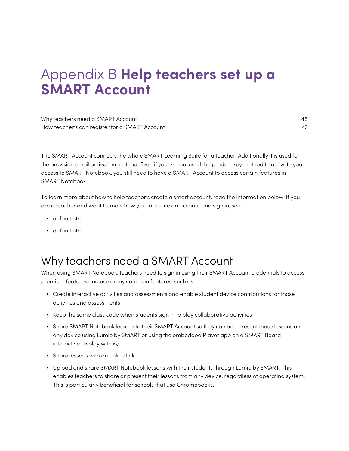# <span id="page-45-0"></span>Appendix B **Help teachers set up a SMART Account**

The SMART Account connects the whole SMART Learning Suite for a teacher. Additionally it is used for the provision email activation method. Even if your school used the product key method to activate your access to SMART Notebook, you still need to have a SMART Account to access certain features in SMART Notebook.

To learn more about how to help teacher's create a smart account, read the information below. If you are a teacher and want to know how you to create an account and sign in, see:

- default htm
- <span id="page-45-1"></span>• default htm

## Why teachers need a SMART Account

When using SMART Notebook, teachers need to sign in using their SMART Account credentials to access premium features and use many common features, such as:

- Create interactive activities and assessments and enable student device contributions for those activities and assessments
- Keep the same class code when students sign in to play collaborative activities
- Share SMART Notebook lessons to their SMART Account so they can and present those lessons on any device using Lumio by SMART or using the embedded Player app on a SMART Board interactive display with iQ
- Share lessons with an online link
- <span id="page-45-2"></span>• Upload and share SMART Notebook lessons with their students through Lumio by SMART. This enables teachers to share or present their lessons from any device, regardless of operating system. This is particularly beneficial for schools that use Chromebooks.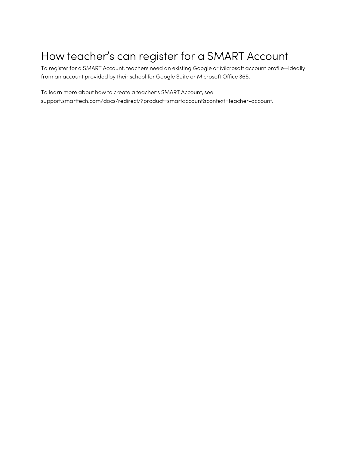## How teacher's can register for a SMART Account

To register for a SMART Account, teachers need an existing Google or Microsoft account profile—ideally from an account provided by their school for Google Suite or Microsoft Office 365.

To learn more about how to create a teacher's SMART Account, see [support.smarttech.com/docs/redirect/?product=smartaccount&context=teacher-account](https://support.smarttech.com/docs/redirect/?product=smartaccount&context=teacher-account).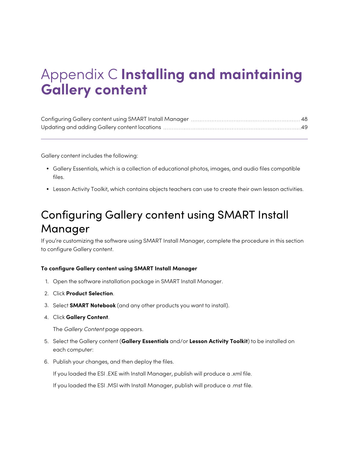# <span id="page-47-0"></span>Appendix C **Installing and maintaining Gallery content**

Gallery content includes the following:

- <sup>l</sup> Gallery Essentials, which is a collection of educational photos, images, and audio files compatible files.
- <span id="page-47-1"></span>• Lesson Activity Toolkit, which contains objects teachers can use to create their own lesson activities.

## Configuring Gallery content using SMART Install Manager

If you're customizing the software using SMART Install Manager, complete the procedure in this section to configure Gallery content.

#### **To configure Gallery content using SMART Install Manager**

- 1. Open the software installation package in SMART Install Manager.
- 2. Click **Product Selection**.
- 3. Select **SMART Notebook** (and any other products you want to install).
- 4. Click **Gallery Content**.

The Gallery Content page appears.

- 5. Select the Gallery content (**Gallery Essentials** and/or **Lesson Activity Toolkit**) to be installed on each computer:
- 6. Publish your changes, and then deploy the files.

If you loaded the ESI .EXE with Install Manager, publish will produce a .xml file.

If you loaded the ESI .MSI with Install Manager, publish will produce a .mst file.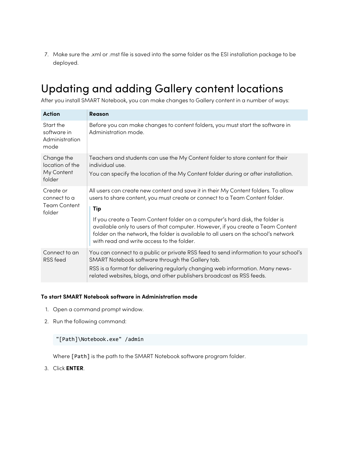7. Make sure the .xml or .mst file is saved into the same folder as the ESI installation package to be deployed.

## <span id="page-48-0"></span>Updating and adding Gallery content locations

After you install SMART Notebook, you can make changes to Gallery content in a number of ways:

| <b>Action</b>                                              | Reason                                                                                                                                                                                                                                                                                                                                                                                                                                                                           |
|------------------------------------------------------------|----------------------------------------------------------------------------------------------------------------------------------------------------------------------------------------------------------------------------------------------------------------------------------------------------------------------------------------------------------------------------------------------------------------------------------------------------------------------------------|
| Start the<br>software in<br>Administration<br>mode         | Before you can make changes to content folders, you must start the software in<br>Administration mode.                                                                                                                                                                                                                                                                                                                                                                           |
| Change the<br>location of the<br>My Content<br>folder      | Teachers and students can use the My Content folder to store content for their<br>individual use.<br>You can specify the location of the My Content folder during or after installation.                                                                                                                                                                                                                                                                                         |
| Create or<br>connect to a<br><b>Team Content</b><br>folder | All users can create new content and save it in their My Content folders. To allow<br>users to share content, you must create or connect to a Team Content folder.<br>Tip<br>If you create a Team Content folder on a computer's hard disk, the folder is<br>available only to users of that computer. However, if you create a Team Content<br>folder on the network, the folder is available to all users on the school's network<br>with read and write access to the folder. |
| Connect to an<br>RSS feed                                  | You can connect to a public or private RSS feed to send information to your school's<br>SMART Notebook software through the Gallery tab.<br>RSS is a format for delivering regularly changing web information. Many news-<br>related websites, blogs, and other publishers broadcast as RSS feeds.                                                                                                                                                                               |

#### **To start SMART Notebook software in Administration mode**

- 1. Open a command prompt window.
- 2. Run the following command:

"[Path]\Notebook.exe" /admin

Where [Path] is the path to the SMART Notebook software program folder.

3. Click **ENTER**.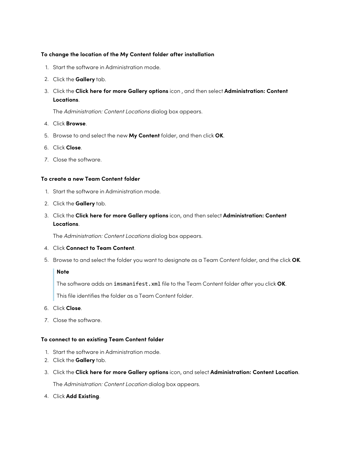### **To change the location of the My Content folder after installation**

- 1. Start the software in Administration mode.
- 2. Click the **Gallery** tab.
- 3. Click the **Click here for more Gallery options** icon , and then select **Administration: Content Locations**.

The Administration: Content Locations dialog box appears.

- 4. Click **Browse**.
- 5. Browse to and select the new **My Content** folder, and then click **OK**.
- 6. Click **Close**.
- 7. Close the software.

### **To create a new Team Content folder**

- 1. Start the software in Administration mode.
- 2. Click the **Gallery** tab.
- 3. Click the **Click here for more Gallery options** icon, and then select **Administration: Content Locations**.

The Administration: Content Locations dialog box appears.

- 4. Click **Connect to Team Content**.
- 5. Browse to and select the folder you want to designate as a Team Content folder, and the click **OK**.

#### **Note**

The software adds an imsmanifest.xml file to the Team Content folder after you click **OK**.

This file identifies the folder as a Team Content folder.

- 6. Click **Close**.
- 7. Close the software.

#### **To connect to an existing Team Content folder**

- 1. Start the software in Administration mode.
- 2. Click the **Gallery** tab.
- 3. Click the **Click here for more Gallery options** icon, and select **Administration: Content Location**.

The Administration: Content Location dialog box appears.

4. Click **Add Existing**.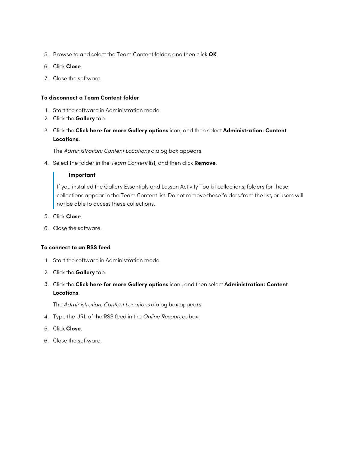- 5. Browse to and select the Team Content folder, and then click **OK**.
- 6. Click **Close**.
- 7. Close the software.

### **To disconnect a Team Content folder**

- 1. Start the software in Administration mode.
- 2. Click the **Gallery** tab.
- 3. Click the **Click here for more Gallery options** icon, and then select **Administration: Content Locations.**

The Administration: Content Locations dialog box appears.

4. Select the folder in the Team Content list, and then click **Remove**.

#### **Important**

If you installed the Gallery Essentials and Lesson Activity Toolkit collections, folders for those collections appear in the Team Content list. Do not remove these folders from the list, or users will not be able to access these collections.

- 5. Click **Close**.
- 6. Close the software.

### **To connect to an RSS feed**

- 1. Start the software in Administration mode.
- 2. Click the **Gallery** tab.
- 3. Click the **Click here for more Gallery options** icon , and then select **Administration: Content Locations**.

The Administration: Content Locations dialog box appears.

- 4. Type the URL of the RSS feed in the Online Resources box.
- 5. Click **Close**.
- 6. Close the software.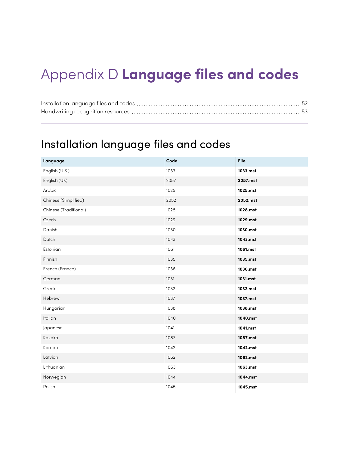# <span id="page-51-0"></span>Appendix D **Language files and codes**

## <span id="page-51-1"></span>Installation language files and codes

| Language              | Code | File     |
|-----------------------|------|----------|
| English (U.S.)        | 1033 | 1033.mst |
| English (UK)          | 2057 | 2057.mst |
| Arabic                | 1025 | 1025.mst |
| Chinese (Simplified)  | 2052 | 2052.mst |
| Chinese (Traditional) | 1028 | 1028.mst |
| Czech                 | 1029 | 1029.mst |
| Danish                | 1030 | 1030.mst |
| Dutch                 | 1043 | 1043.mst |
| Estonian              | 1061 | 1061.mst |
| Finnish               | 1035 | 1035.mst |
| French (France)       | 1036 | 1036.mst |
| German                | 1031 | 1031.mst |
| Greek                 | 1032 | 1032.mst |
| Hebrew                | 1037 | 1037.mst |
| Hungarian             | 1038 | 1038.mst |
| Italian               | 1040 | 1040.mst |
| Japanese              | 1041 | 1041.mst |
| Kazakh                | 1087 | 1087.mst |
| Korean                | 1042 | 1042.mst |
| Latvian               | 1062 | 1062.mst |
| Lithuanian            | 1063 | 1063.mst |
| Norwegian             | 1044 | 1044.mst |
| Polish                | 1045 | 1045.mst |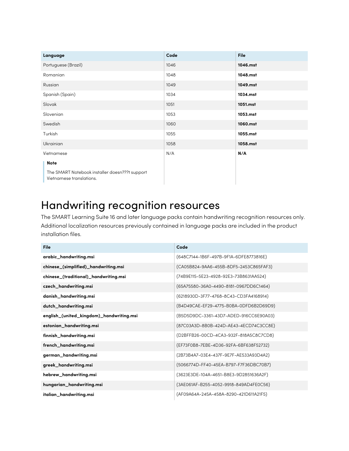| Language                                                                   | Code | <b>File</b> |
|----------------------------------------------------------------------------|------|-------------|
| Portuguese (Brazil)                                                        | 1046 | 1046.mst    |
| Romanian                                                                   | 1048 | 1048.mst    |
| Russian                                                                    | 1049 | 1049.mst    |
| Spanish (Spain)                                                            | 1034 | 1034.mst    |
| Slovak                                                                     | 1051 | 1051.mst    |
| Slovenian                                                                  | 1053 | 1053.mst    |
| Swedish                                                                    | 1060 | 1060.mst    |
| Turkish                                                                    | 1055 | 1055.mst    |
| Ukrainian                                                                  | 1058 | 1058.mst    |
| Vietnamese                                                                 | N/A  | N/A         |
| <b>Note</b>                                                                |      |             |
| The SMART Notebook installer doesn???t support<br>Vietnamese translations. |      |             |

## <span id="page-52-0"></span>Handwriting recognition resources

The SMART Learning Suite 16 and later language packs contain handwriting recognition resources only. Additional localization resources previously contained in language packs are included in the product installation files.

| File                                     | Code                                   |
|------------------------------------------|----------------------------------------|
| arabic_handwriting.msi                   | {648C7144-1B6F-497B-9F1A-6DFE8773816E} |
| chinese_(simplified)_handwriting.msi     | {CA05B824-9AA6-455B-8DF5-2453C865FAF3} |
| chinese_(traditional)_handwriting.msi    | {74B9E115-5E23-4928-92E3-73B8631AA524} |
| czech_handwriting.msi                    | {65A75580-36A0-4490-8181-0967DD6C1464} |
| danish_handwriting.msi                   | {6218930D-3F77-4768-8C43-CD3FA4168914} |
| dutch_handwriting.msi                    | {B4D49CAE-EF29-4775-B0BA-0DFD6B2D69D9} |
| english_(united_kingdom)_handwriting.msi | {B5D5D9DC-3361-43D7-ADED-916CC6E90A03} |
| estonian_handwriting.msi                 | {87C03A3D-8B0B-424D-AE43-4ECD74C3CC8E} |
| finnish_handwriting.msi                  | {D2BFFB26-00CD-4CA3-932F-818A5C8C7CD8} |
| french_handwriting.msi                   | {EF73F0B8-7EBE-4D36-92FA-6BF638F52732} |
| german_handwriting.msi                   | {2B73B4A7-03E4-437F-9E7F-AE533A93D4A2} |
| greek_handwriting.msi                    | {5066774D-FF40-45EA-B797-F7F36DBC70B7} |
| hebrew_handwriting.msi                   | {3623E3DE-104A-4651-B8E3-9D2851636A2F} |
| hungarian_handwriting.msi                | {3AE061AF-B255-4052-9918-849AD4FE0C56} |
| italian_handwriting.msi                  | {AF09A64A-245A-458A-8290-421D611A21F5} |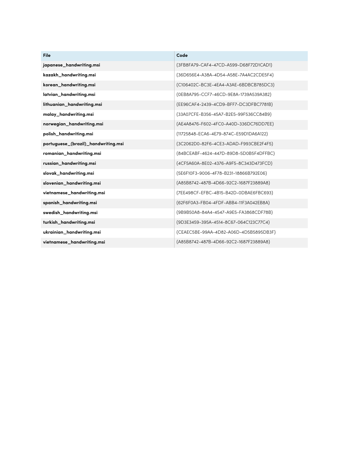| <b>File</b>                         | Code                                   |
|-------------------------------------|----------------------------------------|
| japanese_handwriting.msi            | {3FB8FA79-CAF4-47CD-A599-D68F72D1CAD1} |
| kazakh_handwriting.msi              | {36D656E4-A38A-4D54-A58E-7A4AC2CDE5F4} |
| korean_handwriting.msi              | {C106402C-BC3E-4EA4-A3AE-6BDBCB785DC3} |
| latvian_handwriting.msi             | {0EB8A795-CCF7-46CD-9E8A-1739A539A382} |
| lithuanian_handwriting.msi          | {EE96CAF4-2439-4CD9-BFF7-DC3DFBC7781B} |
| malay_handwriting.msi               | {33A07CFE-B356-45A7-B2E5-99F536CC84B9} |
| norwegian_handwriting.msi           | {AE4A8476-F602-4FC0-A40D-336DC76DD7EE} |
| polish_handwriting.msi              | {11725848-ECA6-4E79-874C-E59D1DA6A122} |
| portuguese_(brazil)_handwriting.msi | {3C2062D0-82F6-4CE3-ADAD-F993CBE2F4F5} |
| romanian_handwriting.msi            | {84BCEABF-4624-447D-89D8-5D0B5F4DFFBC} |
| russian_handwriting.msi             | {4CF5A60A-8E02-4376-A9F5-8C343D473FCD} |
| slovak_handwriting.msi              | {5E6F10F3-9006-4F78-B231-18866B792E06} |
| slovenian_handwriting.msi           | {A85B8742-487B-4D66-92C2-1687F23889A8} |
| vietnamese_handwriting.msi          | {7EE498CF-EFBC-4B15-B42D-0DBAE6FBC693} |
| spanish_handwriting.msi             | {62F6F0A3-FB04-4FDF-ABB4-11F3A042EB8A} |
| swedish_handwriting.msi             | {9B9B50A8-84A4-4547-A9E5-FA3868CDF78B} |
| turkish_handwriting.msi             | {9D3E3459-395A-4514-8C67-064C123C77C4} |
| ukrainian_handwriting.msi           | {CEAEC5BE-99AA-4D82-A06D-4D5B5895DB3F} |
| vietnamese_handwriting.msi          | {A85B8742-487B-4D66-92C2-1687F23889A8} |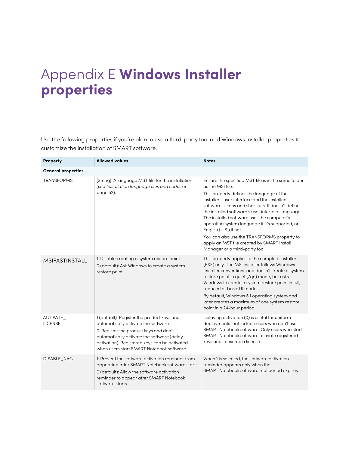# <span id="page-54-0"></span>Appendix E **Windows Installer properties**

Use the following properties if you're plan to use a third-party tool and Windows Installer properties to customize the installation of SMART software.

| Property                   | <b>Allowed values</b>                                                                                                                                                                                                                                                    | <b>Notes</b>                                                                                                                                                                                                                                                                                                                                                                                                                                                                                                                             |  |
|----------------------------|--------------------------------------------------------------------------------------------------------------------------------------------------------------------------------------------------------------------------------------------------------------------------|------------------------------------------------------------------------------------------------------------------------------------------------------------------------------------------------------------------------------------------------------------------------------------------------------------------------------------------------------------------------------------------------------------------------------------------------------------------------------------------------------------------------------------------|--|
| <b>General properties</b>  |                                                                                                                                                                                                                                                                          |                                                                                                                                                                                                                                                                                                                                                                                                                                                                                                                                          |  |
| <b>TRANSFORMS</b>          | [String]: A language MST file for the installation<br>(see Installation language files and codes on<br>page 52).                                                                                                                                                         | Ensure the specified MST file is in the same folder<br>as the MSI file.<br>This property defines the language of the<br>installer's user interface and the installed<br>software's icons and shortcuts. It doesn't define<br>the installed software's user interface language.<br>The installed software uses the computer's<br>operating system language if it's supported, or<br>English (U.S.) if not.<br>You can also use the TRANSFORMS property to<br>apply an MST file created by SMART Install<br>Manager or a third-party tool. |  |
| MSIFASTINSTALL             | 1: Disable creating a system restore point.<br>0 (default): Ask Windows to create a system<br>restore point.                                                                                                                                                             | This property applies to the complete installer<br>(EXE) only. The MSI installer follows Windows<br>Installer conventions and doesn't create a system<br>restore point in quiet (/qn) mode, but asks<br>Windows to create a system restore point in full,<br>reduced or basic UI modes.<br>By default, Windows 8.1 operating system and<br>later creates a maximum of one system restore<br>point in a 24-hour period.                                                                                                                   |  |
| ACTIVATE<br><b>LICENSE</b> | 1 (default): Register the product keys and<br>automatically activate the software.<br>0: Register the product keys and don't<br>automatically activate the software (delay<br>activation). Registered keys can be activated<br>when users start SMART Notebook software. | Delaying activation (0) is useful for uniform<br>deployments that include users who don't use<br>SMART Notebook software. Only users who start<br>SMART Notebook software activate registered<br>keys and consume a license.                                                                                                                                                                                                                                                                                                             |  |
| DISABLE_NAG                | 1: Prevent the software activation reminder from<br>appearing after SMART Notebook software starts.<br>0 (default): Allow the software activation<br>reminder to appear after SMART Notebook<br>software starts.                                                         | When 1 is selected, the software activation<br>reminder appears only when the<br>SMART Notebook software trial period expires.                                                                                                                                                                                                                                                                                                                                                                                                           |  |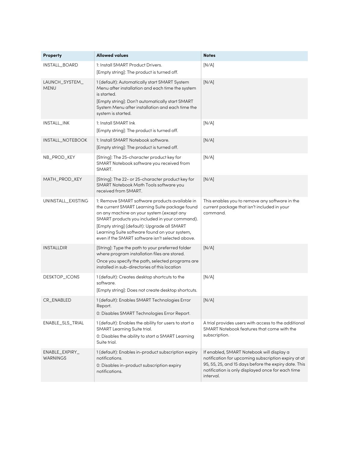| Property                          | <b>Allowed values</b>                                                                                                                                                                                                                                                                                                                              | <b>Notes</b>                                                                                                                                                                                                               |
|-----------------------------------|----------------------------------------------------------------------------------------------------------------------------------------------------------------------------------------------------------------------------------------------------------------------------------------------------------------------------------------------------|----------------------------------------------------------------------------------------------------------------------------------------------------------------------------------------------------------------------------|
| INSTALL_BOARD                     | 1: Install SMART Product Drivers.<br>[Empty string]: The product is turned off.                                                                                                                                                                                                                                                                    | [N/A]                                                                                                                                                                                                                      |
| LAUNCH_SYSTEM_<br><b>MENU</b>     | 1 (default): Automatically start SMART System<br>Menu after installation and each time the system<br>is started.<br>[Empty string]: Don't automatically start SMART<br>System Menu after installation and each time the<br>system is started.                                                                                                      | [N/A]                                                                                                                                                                                                                      |
| INSTALL_INK                       | 1: Install SMART Ink<br>[Empty string]: The product is turned off.                                                                                                                                                                                                                                                                                 | [N/A]                                                                                                                                                                                                                      |
| INSTALL_NOTEBOOK                  | 1: Install SMART Notebook software.<br>[Empty string]: The product is turned off.                                                                                                                                                                                                                                                                  | [N/A]                                                                                                                                                                                                                      |
| NB_PROD_KEY                       | [String]: The 25-character product key for<br>SMART Notebook software you received from<br>SMART.                                                                                                                                                                                                                                                  | [N/A]                                                                                                                                                                                                                      |
| MATH_PROD_KEY                     | [String]: The 22- or 25-character product key for<br>SMART Notebook Math Tools software you<br>received from SMART.                                                                                                                                                                                                                                | [N/A]                                                                                                                                                                                                                      |
| UNINSTALL_EXISTING                | 1: Remove SMART software products available in<br>the current SMART Learning Suite package found<br>on any machine on your system (except any<br>SMART products you included in your command).<br>[Empty string] (default): Upgrade all SMART<br>Learning Suite software found on your system,<br>even if the SMART software isn't selected above. | This enables you to remove any software in the<br>current package that isn't included in your<br>command.                                                                                                                  |
| <b>INSTALLDIR</b>                 | [String]: Type the path to your preferred folder<br>where program installation files are stored.<br>Once you specify the path, selected programs are<br>installed in sub-directories of this location                                                                                                                                              | [N/A]                                                                                                                                                                                                                      |
| DESKTOP_ICONS                     | 1 (default): Creates desktop shortcuts to the<br>software.<br>[Empty string]: Does not create desktop shortcuts.                                                                                                                                                                                                                                   | [N/A]                                                                                                                                                                                                                      |
| CR_ENABLED                        | 1 (default): Enables SMART Technologies Error<br>Report.<br>0: Disables SMART Technologies Error Report.                                                                                                                                                                                                                                           | [N/A]                                                                                                                                                                                                                      |
| ENABLE_SLS_TRIAL                  | 1 (default): Enables the ability for users to start a<br>SMART Learning Suite trial.<br>0: Disables the ability to start a SMART Learning<br>Suite trial.                                                                                                                                                                                          | A trial provides users with access to the additional<br>SMART Notebook features that come with the<br>subscription.                                                                                                        |
| ENABLE_EXPIRY_<br><b>WARNINGS</b> | 1 (default): Enables in-product subscription expiry<br>notifications.<br>0: Disables in-product subscription expiry<br>notifications.                                                                                                                                                                                                              | If enabled, SMART Notebook will display a<br>notification for upcoming subscription expiry at at<br>95, 55, 25, and 15 days before the expiry date. This<br>notification is only displayed once for each time<br>interval. |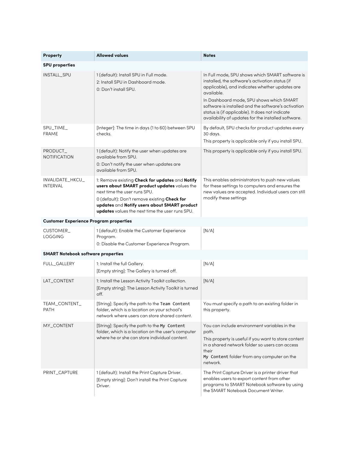| Property                                      | <b>Allowed values</b>                                                                                                                                                                                                                                                              | <b>Notes</b>                                                                                                                                                                                                                                                                                                             |
|-----------------------------------------------|------------------------------------------------------------------------------------------------------------------------------------------------------------------------------------------------------------------------------------------------------------------------------------|--------------------------------------------------------------------------------------------------------------------------------------------------------------------------------------------------------------------------------------------------------------------------------------------------------------------------|
| <b>SPU properties</b>                         |                                                                                                                                                                                                                                                                                    |                                                                                                                                                                                                                                                                                                                          |
| INSTALL_SPU                                   | 1 (default): Install SPU in Full mode.<br>2: Install SPU in Dashboard mode.<br>0: Don't install SPU.                                                                                                                                                                               | In Full mode, SPU shows which SMART software is<br>installed, the software's activation status (if<br>applicable), and indicates whether updates are<br>available.<br>In Dashboard mode, SPU shows which SMART<br>software is installed and the software's activation<br>status is (if applicable). It does not indicate |
|                                               |                                                                                                                                                                                                                                                                                    | availability of updates for the installed software.                                                                                                                                                                                                                                                                      |
| SPU_TIME_<br><b>FRAME</b>                     | [Integer]: The time in days (1 to 60) between SPU<br>checks.                                                                                                                                                                                                                       | By default, SPU checks for product updates every<br>30 days.<br>This property is applicable only if you install SPU.                                                                                                                                                                                                     |
| PRODUCT_<br><b>NOTIFICATION</b>               | 1 (default): Notify the user when updates are<br>available from SPU.<br>0: Don't notify the user when updates are<br>available from SPU.                                                                                                                                           | This property is applicable only if you install SPU.                                                                                                                                                                                                                                                                     |
| INVALIDATE_HKCU_<br><b>INTERVAL</b>           | 1: Remove existing Check for updates and Notify<br>users about SMART product updates values the<br>next time the user runs SPU.<br>0 (default): Don't remove existing Check for<br>updates and Notify users about SMART product<br>updates values the next time the user runs SPU. | This enables administrators to push new values<br>for these settings to computers and ensures the<br>new values are accepted. Individual users can still<br>modify these settings                                                                                                                                        |
| <b>Customer Experience Program properties</b> |                                                                                                                                                                                                                                                                                    |                                                                                                                                                                                                                                                                                                                          |
| CUSTOMER_<br><b>LOGGING</b>                   | 1 (default): Enable the Customer Experience<br>Program.<br>0: Disable the Customer Experience Program.                                                                                                                                                                             | [N/A]                                                                                                                                                                                                                                                                                                                    |
| <b>SMART Notebook software properties</b>     |                                                                                                                                                                                                                                                                                    |                                                                                                                                                                                                                                                                                                                          |
| FULL_GALLERY                                  | 1: Install the full Gallery.<br>[Empty string]: The Gallery is turned off.                                                                                                                                                                                                         | [N/A]                                                                                                                                                                                                                                                                                                                    |
| LAT_CONTENT                                   | 1: Install the Lesson Activity Toolkit collection.<br>[Empty string]: The Lesson Activity Toolkit is turned<br>off.                                                                                                                                                                | [N/A]                                                                                                                                                                                                                                                                                                                    |
| <b>TEAM_CONTENT</b><br>PATH                   | [String]: Specify the path to the Team Content<br>folder, which is a location on your school's<br>network where users can store shared content.                                                                                                                                    | You must specify a path to an existing folder in<br>this property.                                                                                                                                                                                                                                                       |
| MY_CONTENT                                    | [String]: Specify the path to the My Content<br>folder, which is a location on the user's computer<br>where he or she can store individual content.                                                                                                                                | You can include environment variables in the<br>path.<br>This property is useful if you want to store content<br>in a shared network folder so users can access<br>their<br>My Content folder from any computer on the<br>network.                                                                                       |
| PRINT_CAPTURE                                 | 1 (default): Install the Print Capture Driver.<br>[Empty string]: Don't install the Print Capture<br>Driver.                                                                                                                                                                       | The Print Capture Driver is a printer driver that<br>enables users to export content from other<br>programs to SMART Notebook software by using<br>the SMART Notebook Document Writer.                                                                                                                                   |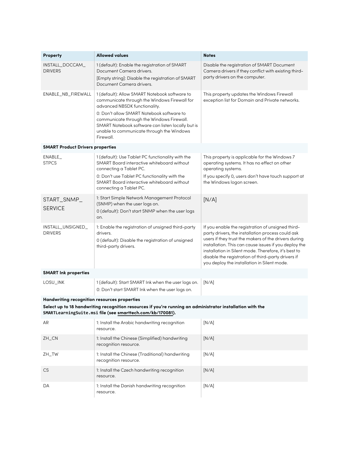| Property                                                                                                                                                                                                                 | <b>Allowed values</b>                                                                                                                                                                                                                                                                                                                   | <b>Notes</b>                                                                                                                                                                                                                                                                                                                                                                         |
|--------------------------------------------------------------------------------------------------------------------------------------------------------------------------------------------------------------------------|-----------------------------------------------------------------------------------------------------------------------------------------------------------------------------------------------------------------------------------------------------------------------------------------------------------------------------------------|--------------------------------------------------------------------------------------------------------------------------------------------------------------------------------------------------------------------------------------------------------------------------------------------------------------------------------------------------------------------------------------|
| INSTALL_DOCCAM_<br><b>DRIVERS</b>                                                                                                                                                                                        | 1 (default): Enable the registration of SMART<br>Document Camera drivers.<br>[Empty string]: Disable the registration of SMART<br>Document Camera drivers.                                                                                                                                                                              | Disable the registration of SMART Document<br>Camera drivers if they conflict with existing third-<br>party drivers on the computer.                                                                                                                                                                                                                                                 |
| ENABLE_NB_FIREWALL                                                                                                                                                                                                       | 1 (default): Allow SMART Notebook software to<br>communicate through the Windows Firewall for<br>advanced NBSDK functionality.<br>0: Don't allow SMART Notebook software to<br>communicate through the Windows Firewall.<br>SMART Notebook software can listen locally but is<br>unable to communicate through the Windows<br>Firewall. | This property updates the Windows Firewall<br>exception list for Domain and Private networks.                                                                                                                                                                                                                                                                                        |
| <b>SMART Product Drivers properties</b>                                                                                                                                                                                  |                                                                                                                                                                                                                                                                                                                                         |                                                                                                                                                                                                                                                                                                                                                                                      |
| ENABLE<br><b>STPCS</b>                                                                                                                                                                                                   | 1 (default): Use Tablet PC functionality with the<br>SMART Board interactive whiteboard without<br>connecting a Tablet PC.<br>0: Don't use Tablet PC functionality with the<br>SMART Board interactive whiteboard without<br>connecting a Tablet PC.                                                                                    | This property is applicable for the Windows 7<br>operating systems. It has no effect on other<br>operating systems.<br>If you specify 0, users don't have touch support at<br>the Windows logon screen.                                                                                                                                                                              |
| START_SNMP_<br><b>SERVICE</b>                                                                                                                                                                                            | 1: Start Simple Network Management Protocol<br>(SNMP) when the user logs on.<br>0 (default): Don't start SNMP when the user logs<br>on.                                                                                                                                                                                                 | [N/A]                                                                                                                                                                                                                                                                                                                                                                                |
| INSTALL_UNSIGNED_<br><b>DRIVERS</b>                                                                                                                                                                                      | 1: Enable the registration of unsigned third-party<br>drivers.<br>0 (default): Disable the registration of unsigned<br>third-party drivers.                                                                                                                                                                                             | If you enable the registration of unsigned third-<br>party drivers, the installation process could ask<br>users if they trust the makers of the drivers during<br>installation. This can cause issues if you deploy the<br>installation in Silent mode. Therefore, it's best to<br>disable the registration of third-party drivers if<br>you deploy the installation in Silent mode. |
| <b>SMART Ink properties</b>                                                                                                                                                                                              |                                                                                                                                                                                                                                                                                                                                         |                                                                                                                                                                                                                                                                                                                                                                                      |
| LOSU_INK                                                                                                                                                                                                                 | 1 (default): Start SMART Ink when the user logs on.<br>0: Don't start SMART Ink when the user logs on.                                                                                                                                                                                                                                  | [N/A]                                                                                                                                                                                                                                                                                                                                                                                |
| Handwriting recognition resources properties<br>Select up to 18 handwriting recognition resources if you're running an administrator installation with the<br>SMARTLearningSuite.msi file (see smarttech.com/kb/170081). |                                                                                                                                                                                                                                                                                                                                         |                                                                                                                                                                                                                                                                                                                                                                                      |
| AR                                                                                                                                                                                                                       | 1: Install the Arabic handwriting recognition<br>resource.                                                                                                                                                                                                                                                                              | [N/A]                                                                                                                                                                                                                                                                                                                                                                                |
| ZH_CN                                                                                                                                                                                                                    | 1: Install the Chinese (Simplified) handwriting<br>recognition resource.                                                                                                                                                                                                                                                                | [N/A]                                                                                                                                                                                                                                                                                                                                                                                |
| ZH_TW                                                                                                                                                                                                                    | 1: Install the Chinese (Traditional) handwriting<br>recognition resource.                                                                                                                                                                                                                                                               | [N/A]                                                                                                                                                                                                                                                                                                                                                                                |
| <b>CS</b>                                                                                                                                                                                                                | 1: Install the Czech handwriting recognition<br>resource.                                                                                                                                                                                                                                                                               | [N/A]                                                                                                                                                                                                                                                                                                                                                                                |
| DA                                                                                                                                                                                                                       | 1: Install the Danish handwriting recognition<br>resource.                                                                                                                                                                                                                                                                              | [N/A]                                                                                                                                                                                                                                                                                                                                                                                |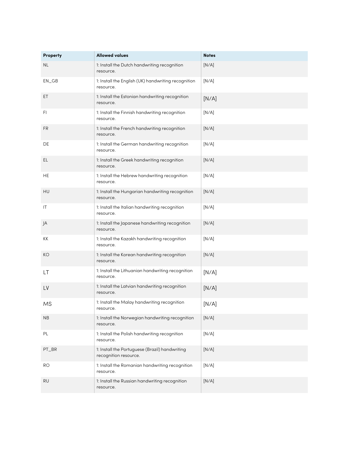| Property  | <b>Allowed values</b>                                                   | <b>Notes</b> |
|-----------|-------------------------------------------------------------------------|--------------|
| NL.       | 1: Install the Dutch handwriting recognition<br>resource.               | [N/A]        |
| $EN\_GB$  | 1: Install the English (UK) handwriting recognition<br>resource.        | [N/A]        |
| ЕT        | 1: Install the Estonian handwriting recognition<br>resource.            | [N/A]        |
| FI.       | 1: Install the Finnish handwriting recognition<br>resource.             | [N/A]        |
| FR        | 1: Install the French handwriting recognition<br>resource.              | [N/A]        |
| DE        | 1: Install the German handwriting recognition<br>resource.              | [N/A]        |
| EL.       | 1: Install the Greek handwriting recognition<br>resource.               | [N/A]        |
| HE        | 1: Install the Hebrew handwriting recognition<br>resource.              | [N/A]        |
| HU        | 1: Install the Hungarian handwriting recognition<br>resource.           | [N/A]        |
| IT        | 1: Install the Italian handwriting recognition<br>resource.             | [N/A]        |
| JA        | 1: Install the Japanese handwriting recognition<br>resource.            | [N/A]        |
| KK        | 1: Install the Kazakh handwriting recognition<br>resource.              | [N/A]        |
| КO        | 1: Install the Korean handwriting recognition<br>resource.              | [N/A]        |
| LТ        | 1: Install the Lithuanian handwriting recognition<br>resource.          | [N/A]        |
| LV        | 1: Install the Latvian handwriting recognition<br>resource.             | [N/A]        |
| ΜS        | 1: Install the Malay handwriting recognition<br>resource.               | [N/A]        |
| <b>NB</b> | 1: Install the Norwegian handwriting recognition<br>resource.           | [N/A]        |
| PL        | 1: Install the Polish handwriting recognition<br>resource.              | [N/A]        |
| PT_BR     | 1: Install the Portuguese (Brazil) handwriting<br>recognition resource. | [N/A]        |
| <b>RO</b> | 1: Install the Romanian handwriting recognition<br>resource.            | [N/A]        |
| <b>RU</b> | 1: Install the Russian handwriting recognition<br>resource.             | [N/A]        |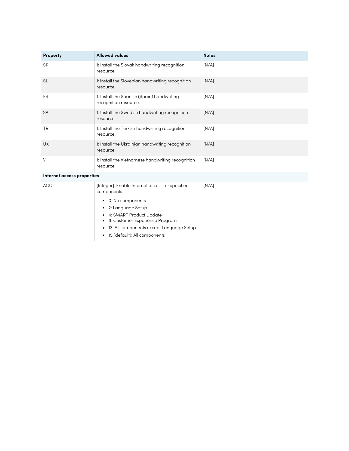| Property  | <b>Allowed values</b>                                               | <b>Notes</b> |
|-----------|---------------------------------------------------------------------|--------------|
| <b>SK</b> | 1: Install the Slovak handwriting recognition<br>resource.          | [N/A]        |
| <b>SL</b> | 1: install the Slovenian handwriting recognition<br>resource.       | [N/A]        |
| ES        | 1: Install the Spanish (Spain) handwriting<br>recognition resource. | [N/A]        |
| <b>SV</b> | 1: Install the Swedish handwriting recognition<br>resource.         | [N/A]        |
| <b>TR</b> | 1: Install the Turkish handwriting recognition<br>resource.         | [N/A]        |
| <b>UK</b> | 1: Install the Ukrainian handwriting recognition<br>resource.       | [N/A]        |
| VI        | 1: Install the Vietnamese handwriting recognition<br>resource.      | [N/A]        |

#### **Internet access properties**

| ACC | [Integer]: Enable Internet access for specified<br>components.                                                                                                                                     | [N/A] |
|-----|----------------------------------------------------------------------------------------------------------------------------------------------------------------------------------------------------|-------|
|     | • 0: No components<br>$\bullet$ 2: Language Setup<br>• 4: SMART Product Update<br>• 8: Customer Experience Program<br>• 13: All components except Language Setup<br>• 15 (default): All components |       |
|     |                                                                                                                                                                                                    |       |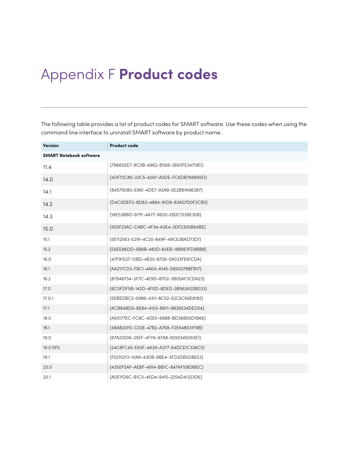# <span id="page-60-0"></span>Appendix F **Product codes**

The following table provides a list of product codes for SMART software. Use these codes when using the command line interface to uninstall SMART software by product name.

| <b>Version</b>                 | <b>Product code</b>                    |
|--------------------------------|----------------------------------------|
| <b>SMART Notebook software</b> |                                        |
| 11.4                           | {79660EE7-9C0B-4962-B566-2693FE34719D} |
| 14.0                           | {4DF72C85-33C5-4297-A0DE-FC6DB766695D} |
| 14.1                           | {84579080-E961-4DE7-93AB-5E2B81A96387} |
| 14.2                           | {D4C0DEF0-8D83-4884-91D9-83A07D0F2CB5} |
| 14.3                           | {18E53BBD-971F-4A77-9620-EB2C1539E308} |
| 15.0                           | {955F23AC-CABC-4F34-A3E4-3DF2305B64BE} |
| 15.1                           | {5E112563-E291-4C20-849F-49CE3BAD73D1} |
| 15.2                           | {E6EE86DD-5B8B-483D-83EB-18B9E1FD9BB8} |
| 16.0                           | {47F91537-12BD-4B30-8726-5A033FE61CDA} |
| 16.1                           | {AA217CD3-F8C1-4AEA-A145-5850078BFB17} |
| 16.2                           | {87948734-3F7C-4E9D-8702-3B05AF3CDA23} |
| 17.0                           | {6C0FDF5B-142D-4F0D-8DED-3B563A20B033} |
| 17.0.1                         | {5EBEDBC2-0986-4311-8C52-52C5C69E8182} |
| 17.1                           | {ACB84BD5-8E84-4103-B611-9836534DED54} |
| 18.0                           | {A93177EC-FC8C-4DE5-9988-BD36B93D1B66} |
| 18.1                           | {38AB20FE-C03E-47B2-A769-F2E548031F9B} |
| 19.0                           | {67A22506-25EF-4F7A-97A8-9293345093E1} |
| 19.0 SP2                       | {24C8FC45-E93F-4A3A-A377-64DCE1C336C5} |
| 19.1                           | {F0215213-10A6-43DB-9BE4-3FD3DB5D8E53} |
| 20.0                           | {4350F5AF-AEBF-4914-BB1C-847AF59E9BEC} |
| 20.1                           | {A0E11D6C-B1C0-45D4-9415-2254D41323D6} |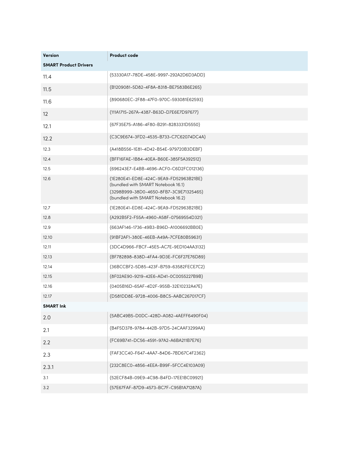| <b>Version</b>               | <b>Product code</b>                                                                                                                                          |
|------------------------------|--------------------------------------------------------------------------------------------------------------------------------------------------------------|
| <b>SMART Product Drivers</b> |                                                                                                                                                              |
| 11.4                         | {53330A17-78DE-458E-9997-292A2D6D3ADD}                                                                                                                       |
| 11.5                         | {B1209081-5D82-4F8A-8318-BE7583B6E265}                                                                                                                       |
| 11.6                         | {890680EC-2F88-47F0-970C-593081E62593}                                                                                                                       |
| 12                           | {111A1715-267A-4387-B63D-D7E6E7D97677}                                                                                                                       |
| 12.1                         | {67F35E75-A186-4F80-B291-8283331D5550}                                                                                                                       |
| 12.2                         | {C3C9E674-3FD2-4535-B733-C7C62074DC4A}                                                                                                                       |
| 12.3                         | {A418B556-1E81-4D42-B54E-979720B3DEBF}                                                                                                                       |
| 12.4                         | {BFF16FAE-1B84-40EA-B60E-385F5A392512}                                                                                                                       |
| 12.5                         | {696243E7-E4BB-4696-ACF0-C6D2FC012136}                                                                                                                       |
| 12.6                         | {1E280E41-ED8E-424C-9EA9-FD52963B21BE}<br>(bundled with SMART Notebook 16.1)<br>{3298B999-38D0-4650-8FB7-3C9E71325465}<br>(bundled with SMART Notebook 16.2) |
| 12.7                         | {1E280E41-ED8E-424C-9EA9-FD52963B21BE}                                                                                                                       |
| 12.8                         | {A292B5F2-F55A-4960-A58F-07569554D321}                                                                                                                       |
| 12.9                         | {663AF146-1736-49B3-B96D-A1006692BB0E}                                                                                                                       |
| 12.10                        | {91BF2AF1-380E-46EB-A49A-7CFE80B59631}                                                                                                                       |
| 12.11                        | {3DC4D966-FBCF-45E5-AC7E-9ED104AA3132}                                                                                                                       |
| 12.13                        | {BF782898-838D-4FA4-9D3E-FC6F27E76D89}                                                                                                                       |
| 12.14                        | {36BCCBF2-5D85-423F-B759-63582FECE7C2}                                                                                                                       |
| 12.15                        | {8F02AE90-9219-42E6-AD41-0C0055227B9B}                                                                                                                       |
| 12.16                        | {0405B16D-65AF-4D2F-955B-32E10232A47E}                                                                                                                       |
| 12.17                        | {D581DD8E-9728-4006-B8C5-AABC267017CF}                                                                                                                       |
| <b>SMART Ink</b>             |                                                                                                                                                              |
| 2.0                          | {5ABC49B5-D0DC-428D-A082-4AEFF6490F04}                                                                                                                       |
| 2.1                          | {B4F5D378-9784-442B-97D5-24CAAF3299AA}                                                                                                                       |
| 2.2                          | {FC69B741-DC56-4591-97A2-A6BA211B7E76}                                                                                                                       |
| 2.3                          | {FAF3CC40-F647-4AA7-84D6-7BD67C4F2362}                                                                                                                       |
| 2.3.1                        | {232C8EC0-4856-4EEA-B99F-5FCC4E103A09}                                                                                                                       |
| 3.1                          | {52ECF84B-09E9-4C98-B4FD-17EE1BC09921}                                                                                                                       |
| 3.2                          | {57E67FAF-87D9-4573-BC7F-C95B1A71287A}                                                                                                                       |